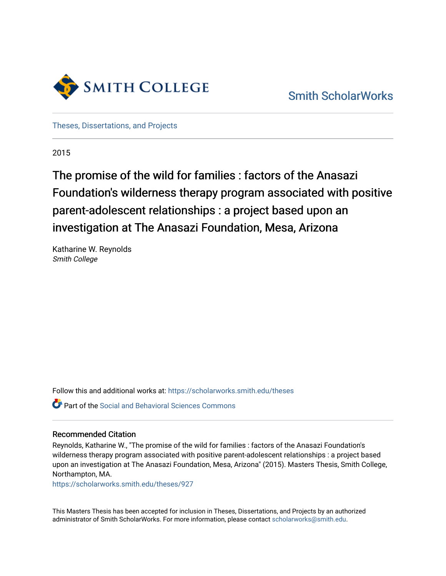

[Smith ScholarWorks](https://scholarworks.smith.edu/) 

[Theses, Dissertations, and Projects](https://scholarworks.smith.edu/theses) 

2015

# The promise of the wild for families : factors of the Anasazi Foundation's wilderness therapy program associated with positive parent-adolescent relationships : a project based upon an investigation at The Anasazi Foundation, Mesa, Arizona

Katharine W. Reynolds Smith College

Follow this and additional works at: [https://scholarworks.smith.edu/theses](https://scholarworks.smith.edu/theses?utm_source=scholarworks.smith.edu%2Ftheses%2F927&utm_medium=PDF&utm_campaign=PDFCoverPages) 

Part of the [Social and Behavioral Sciences Commons](http://network.bepress.com/hgg/discipline/316?utm_source=scholarworks.smith.edu%2Ftheses%2F927&utm_medium=PDF&utm_campaign=PDFCoverPages) 

#### Recommended Citation

Reynolds, Katharine W., "The promise of the wild for families : factors of the Anasazi Foundation's wilderness therapy program associated with positive parent-adolescent relationships : a project based upon an investigation at The Anasazi Foundation, Mesa, Arizona" (2015). Masters Thesis, Smith College, Northampton, MA.

[https://scholarworks.smith.edu/theses/927](https://scholarworks.smith.edu/theses/927?utm_source=scholarworks.smith.edu%2Ftheses%2F927&utm_medium=PDF&utm_campaign=PDFCoverPages) 

This Masters Thesis has been accepted for inclusion in Theses, Dissertations, and Projects by an authorized administrator of Smith ScholarWorks. For more information, please contact [scholarworks@smith.edu](mailto:scholarworks@smith.edu).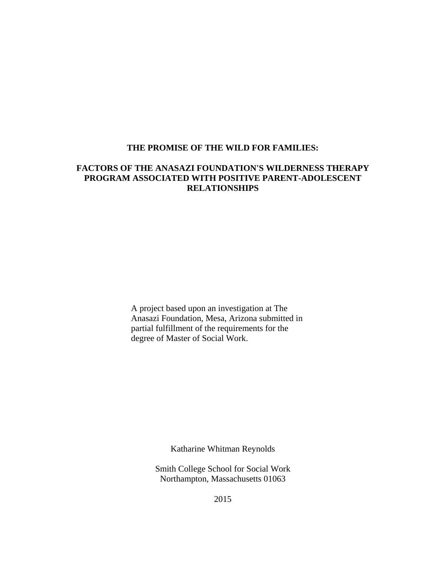## **THE PROMISE OF THE WILD FOR FAMILIES:**

# **FACTORS OF THE ANASAZI FOUNDATION'S WILDERNESS THERAPY PROGRAM ASSOCIATED WITH POSITIVE PARENT-ADOLESCENT RELATIONSHIPS**

 A project based upon an investigation at The Anasazi Foundation, Mesa, Arizona submitted in partial fulfillment of the requirements for the degree of Master of Social Work.

Katharine Whitman Reynolds

Smith College School for Social Work Northampton, Massachusetts 01063

2015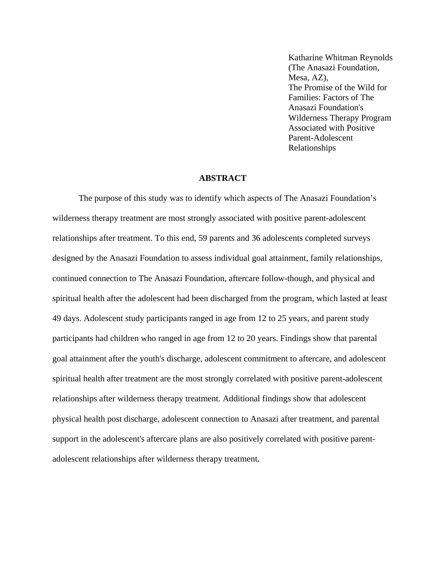Katharine Whitman Reynolds (The Anasazi Foundation, Mesa, AZ), The Promise of the Wild for Families: Factors of The Anasazi Foundation's Wilderness Therapy Program Associated with Positive Parent-Adolescent Relationships

#### **ABSTRACT**

The purpose of this study was to identify which aspects of The Anasazi Foundation's wilderness therapy treatment are most strongly associated with positive parent-adolescent relationships after treatment. To this end, 59 parents and 36 adolescents completed surveys designed by the Anasazi Foundation to assess individual goal attainment, family relationships, continued connection to The Anasazi Foundation, aftercare follow-though, and physical and spiritual health after the adolescent had been discharged from the program, which lasted at least 49 days. Adolescent study participants ranged in age from 12 to 25 years, and parent study participants had children who ranged in age from 12 to 20 years. Findings show that parental goal attainment after the youth's discharge, adolescent commitment to aftercare, and adolescent spiritual health after treatment are the most strongly correlated with positive parent-adolescent relationships after wilderness therapy treatment. Additional findings show that adolescent physical health post discharge, adolescent connection to Anasazi after treatment, and parental support in the adolescent's aftercare plans are also positively correlated with positive parentadolescent relationships after wilderness therapy treatment.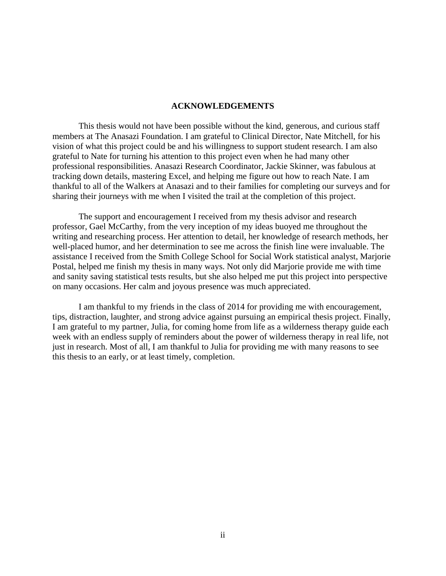#### **ACKNOWLEDGEMENTS**

This thesis would not have been possible without the kind, generous, and curious staff members at The Anasazi Foundation. I am grateful to Clinical Director, Nate Mitchell, for his vision of what this project could be and his willingness to support student research. I am also grateful to Nate for turning his attention to this project even when he had many other professional responsibilities. Anasazi Research Coordinator, Jackie Skinner, was fabulous at tracking down details, mastering Excel, and helping me figure out how to reach Nate. I am thankful to all of the Walkers at Anasazi and to their families for completing our surveys and for sharing their journeys with me when I visited the trail at the completion of this project.

The support and encouragement I received from my thesis advisor and research professor, Gael McCarthy, from the very inception of my ideas buoyed me throughout the writing and researching process. Her attention to detail, her knowledge of research methods, her well-placed humor, and her determination to see me across the finish line were invaluable. The assistance I received from the Smith College School for Social Work statistical analyst, Marjorie Postal, helped me finish my thesis in many ways. Not only did Marjorie provide me with time and sanity saving statistical tests results, but she also helped me put this project into perspective on many occasions. Her calm and joyous presence was much appreciated.

I am thankful to my friends in the class of 2014 for providing me with encouragement, tips, distraction, laughter, and strong advice against pursuing an empirical thesis project. Finally, I am grateful to my partner, Julia, for coming home from life as a wilderness therapy guide each week with an endless supply of reminders about the power of wilderness therapy in real life, not just in research. Most of all, I am thankful to Julia for providing me with many reasons to see this thesis to an early, or at least timely, completion.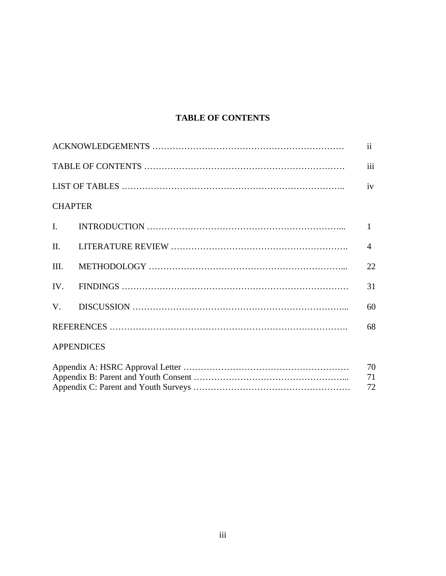# **TABLE OF CONTENTS**

|                |                   | $\mathbf{ii}$  |
|----------------|-------------------|----------------|
|                |                   | iii            |
|                |                   |                |
| <b>CHAPTER</b> |                   |                |
| $\mathbf{I}$ . |                   | $\mathbf{1}$   |
| $\Pi$ .        |                   | $\overline{4}$ |
| III.           |                   | 22             |
|                |                   | 31             |
| V.             |                   | 60             |
|                |                   | 68             |
|                | <b>APPENDICES</b> |                |
|                |                   | 70<br>71<br>72 |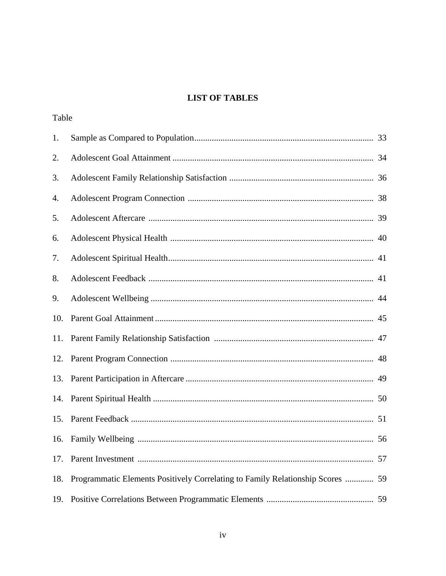# **LIST OF TABLES**

Table

| 1.  |                                                                                |    |
|-----|--------------------------------------------------------------------------------|----|
| 2.  |                                                                                |    |
| 3.  |                                                                                |    |
| 4.  |                                                                                |    |
| 5.  |                                                                                |    |
| 6.  |                                                                                |    |
| 7.  |                                                                                |    |
| 8.  |                                                                                |    |
| 9.  |                                                                                |    |
| 10. |                                                                                |    |
| 11. |                                                                                |    |
| 12. |                                                                                |    |
| 13. |                                                                                |    |
| 14. |                                                                                |    |
| 15. |                                                                                |    |
|     |                                                                                |    |
| 17. |                                                                                | 57 |
| 18. | Programmatic Elements Positively Correlating to Family Relationship Scores  59 |    |
| 19. |                                                                                |    |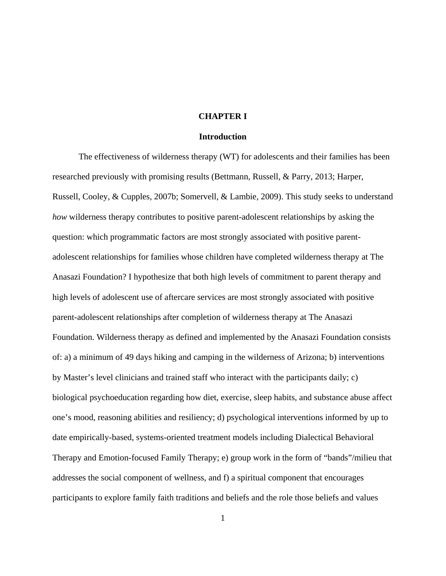### **CHAPTER I**

#### **Introduction**

The effectiveness of wilderness therapy (WT) for adolescents and their families has been researched previously with promising results (Bettmann, Russell, & Parry, 2013; Harper, Russell, Cooley, & Cupples, 2007b; Somervell, & Lambie, 2009). This study seeks to understand *how* wilderness therapy contributes to positive parent-adolescent relationships by asking the question: which programmatic factors are most strongly associated with positive parentadolescent relationships for families whose children have completed wilderness therapy at The Anasazi Foundation? I hypothesize that both high levels of commitment to parent therapy and high levels of adolescent use of aftercare services are most strongly associated with positive parent-adolescent relationships after completion of wilderness therapy at The Anasazi Foundation. Wilderness therapy as defined and implemented by the Anasazi Foundation consists of: a) a minimum of 49 days hiking and camping in the wilderness of Arizona; b) interventions by Master's level clinicians and trained staff who interact with the participants daily; c) biological psychoeducation regarding how diet, exercise, sleep habits, and substance abuse affect one's mood, reasoning abilities and resiliency; d) psychological interventions informed by up to date empirically-based, systems-oriented treatment models including Dialectical Behavioral Therapy and Emotion-focused Family Therapy; e) group work in the form of "bands"/milieu that addresses the social component of wellness, and f) a spiritual component that encourages participants to explore family faith traditions and beliefs and the role those beliefs and values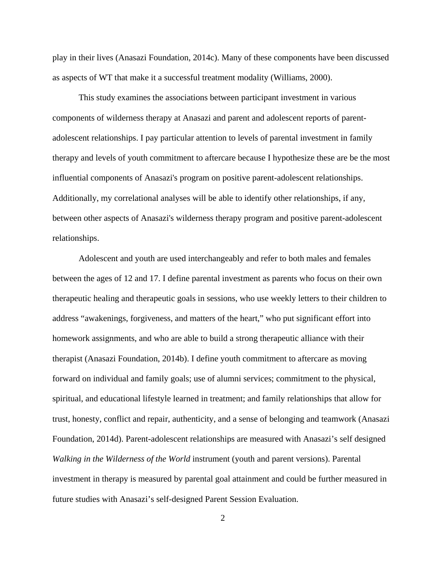play in their lives (Anasazi Foundation, 2014c). Many of these components have been discussed as aspects of WT that make it a successful treatment modality (Williams, 2000).

This study examines the associations between participant investment in various components of wilderness therapy at Anasazi and parent and adolescent reports of parentadolescent relationships. I pay particular attention to levels of parental investment in family therapy and levels of youth commitment to aftercare because I hypothesize these are be the most influential components of Anasazi's program on positive parent-adolescent relationships. Additionally, my correlational analyses will be able to identify other relationships, if any, between other aspects of Anasazi's wilderness therapy program and positive parent-adolescent relationships.

Adolescent and youth are used interchangeably and refer to both males and females between the ages of 12 and 17. I define parental investment as parents who focus on their own therapeutic healing and therapeutic goals in sessions, who use weekly letters to their children to address "awakenings, forgiveness, and matters of the heart," who put significant effort into homework assignments, and who are able to build a strong therapeutic alliance with their therapist (Anasazi Foundation, 2014b). I define youth commitment to aftercare as moving forward on individual and family goals; use of alumni services; commitment to the physical, spiritual, and educational lifestyle learned in treatment; and family relationships that allow for trust, honesty, conflict and repair, authenticity, and a sense of belonging and teamwork (Anasazi Foundation, 2014d). Parent-adolescent relationships are measured with Anasazi's self designed *Walking in the Wilderness of the World* instrument (youth and parent versions). Parental investment in therapy is measured by parental goal attainment and could be further measured in future studies with Anasazi's self-designed Parent Session Evaluation.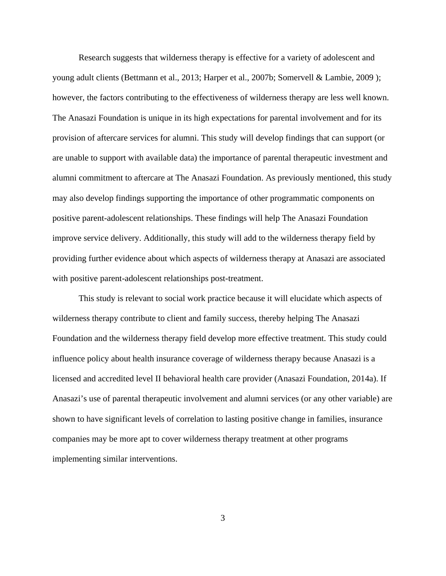Research suggests that wilderness therapy is effective for a variety of adolescent and young adult clients (Bettmann et al., 2013; Harper et al., 2007b; Somervell & Lambie, 2009 ); however, the factors contributing to the effectiveness of wilderness therapy are less well known. The Anasazi Foundation is unique in its high expectations for parental involvement and for its provision of aftercare services for alumni. This study will develop findings that can support (or are unable to support with available data) the importance of parental therapeutic investment and alumni commitment to aftercare at The Anasazi Foundation. As previously mentioned, this study may also develop findings supporting the importance of other programmatic components on positive parent-adolescent relationships. These findings will help The Anasazi Foundation improve service delivery. Additionally, this study will add to the wilderness therapy field by providing further evidence about which aspects of wilderness therapy at Anasazi are associated with positive parent-adolescent relationships post-treatment.

This study is relevant to social work practice because it will elucidate which aspects of wilderness therapy contribute to client and family success, thereby helping The Anasazi Foundation and the wilderness therapy field develop more effective treatment. This study could influence policy about health insurance coverage of wilderness therapy because Anasazi is a licensed and accredited level II behavioral health care provider (Anasazi Foundation, 2014a). If Anasazi's use of parental therapeutic involvement and alumni services (or any other variable) are shown to have significant levels of correlation to lasting positive change in families, insurance companies may be more apt to cover wilderness therapy treatment at other programs implementing similar interventions.

3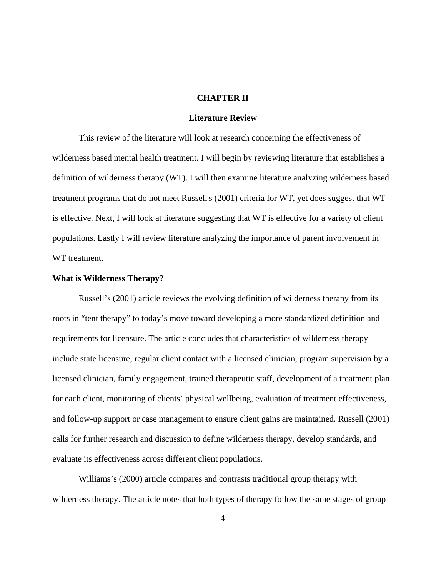## **CHAPTER II**

#### **Literature Review**

This review of the literature will look at research concerning the effectiveness of wilderness based mental health treatment. I will begin by reviewing literature that establishes a definition of wilderness therapy (WT). I will then examine literature analyzing wilderness based treatment programs that do not meet Russell's (2001) criteria for WT, yet does suggest that WT is effective. Next, I will look at literature suggesting that WT is effective for a variety of client populations. Lastly I will review literature analyzing the importance of parent involvement in WT treatment.

#### **What is Wilderness Therapy?**

Russell's (2001) article reviews the evolving definition of wilderness therapy from its roots in "tent therapy" to today's move toward developing a more standardized definition and requirements for licensure. The article concludes that characteristics of wilderness therapy include state licensure, regular client contact with a licensed clinician, program supervision by a licensed clinician, family engagement, trained therapeutic staff, development of a treatment plan for each client, monitoring of clients' physical wellbeing, evaluation of treatment effectiveness, and follow-up support or case management to ensure client gains are maintained. Russell (2001) calls for further research and discussion to define wilderness therapy, develop standards, and evaluate its effectiveness across different client populations.

Williams's (2000) article compares and contrasts traditional group therapy with wilderness therapy. The article notes that both types of therapy follow the same stages of group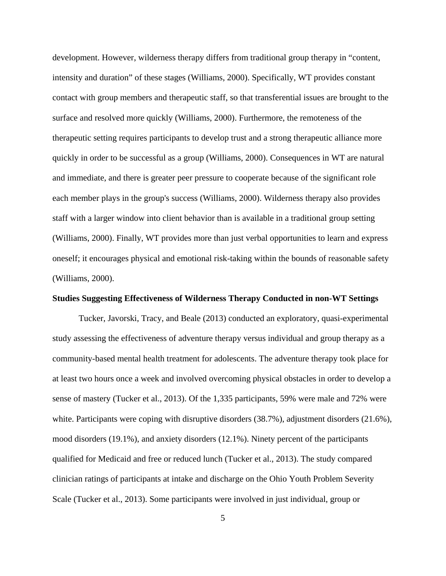development. However, wilderness therapy differs from traditional group therapy in "content, intensity and duration" of these stages (Williams, 2000). Specifically, WT provides constant contact with group members and therapeutic staff, so that transferential issues are brought to the surface and resolved more quickly (Williams, 2000). Furthermore, the remoteness of the therapeutic setting requires participants to develop trust and a strong therapeutic alliance more quickly in order to be successful as a group (Williams, 2000). Consequences in WT are natural and immediate, and there is greater peer pressure to cooperate because of the significant role each member plays in the group's success (Williams, 2000). Wilderness therapy also provides staff with a larger window into client behavior than is available in a traditional group setting (Williams, 2000). Finally, WT provides more than just verbal opportunities to learn and express oneself; it encourages physical and emotional risk-taking within the bounds of reasonable safety (Williams, 2000).

#### **Studies Suggesting Effectiveness of Wilderness Therapy Conducted in non-WT Settings**

Tucker, Javorski, Tracy, and Beale (2013) conducted an exploratory, quasi-experimental study assessing the effectiveness of adventure therapy versus individual and group therapy as a community-based mental health treatment for adolescents. The adventure therapy took place for at least two hours once a week and involved overcoming physical obstacles in order to develop a sense of mastery (Tucker et al., 2013). Of the 1,335 participants, 59% were male and 72% were white. Participants were coping with disruptive disorders (38.7%), adjustment disorders (21.6%), mood disorders (19.1%), and anxiety disorders (12.1%). Ninety percent of the participants qualified for Medicaid and free or reduced lunch (Tucker et al., 2013). The study compared clinician ratings of participants at intake and discharge on the Ohio Youth Problem Severity Scale (Tucker et al., 2013). Some participants were involved in just individual, group or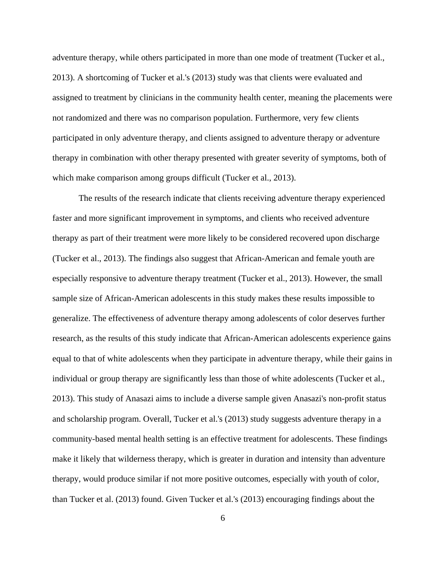adventure therapy, while others participated in more than one mode of treatment (Tucker et al., 2013). A shortcoming of Tucker et al.'s (2013) study was that clients were evaluated and assigned to treatment by clinicians in the community health center, meaning the placements were not randomized and there was no comparison population. Furthermore, very few clients participated in only adventure therapy, and clients assigned to adventure therapy or adventure therapy in combination with other therapy presented with greater severity of symptoms, both of which make comparison among groups difficult (Tucker et al., 2013).

The results of the research indicate that clients receiving adventure therapy experienced faster and more significant improvement in symptoms, and clients who received adventure therapy as part of their treatment were more likely to be considered recovered upon discharge (Tucker et al., 2013). The findings also suggest that African-American and female youth are especially responsive to adventure therapy treatment (Tucker et al., 2013). However, the small sample size of African-American adolescents in this study makes these results impossible to generalize. The effectiveness of adventure therapy among adolescents of color deserves further research, as the results of this study indicate that African-American adolescents experience gains equal to that of white adolescents when they participate in adventure therapy, while their gains in individual or group therapy are significantly less than those of white adolescents (Tucker et al., 2013). This study of Anasazi aims to include a diverse sample given Anasazi's non-profit status and scholarship program. Overall, Tucker et al.'s (2013) study suggests adventure therapy in a community-based mental health setting is an effective treatment for adolescents. These findings make it likely that wilderness therapy, which is greater in duration and intensity than adventure therapy, would produce similar if not more positive outcomes, especially with youth of color, than Tucker et al. (2013) found. Given Tucker et al.'s (2013) encouraging findings about the

6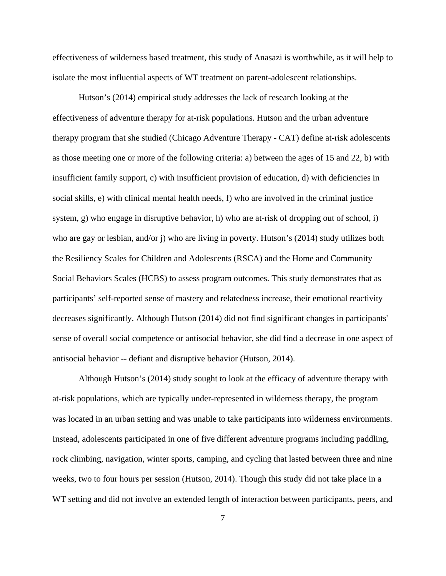effectiveness of wilderness based treatment, this study of Anasazi is worthwhile, as it will help to isolate the most influential aspects of WT treatment on parent-adolescent relationships.

Hutson's (2014) empirical study addresses the lack of research looking at the effectiveness of adventure therapy for at-risk populations. Hutson and the urban adventure therapy program that she studied (Chicago Adventure Therapy - CAT) define at-risk adolescents as those meeting one or more of the following criteria: a) between the ages of 15 and 22, b) with insufficient family support, c) with insufficient provision of education, d) with deficiencies in social skills, e) with clinical mental health needs, f) who are involved in the criminal justice system, g) who engage in disruptive behavior, h) who are at-risk of dropping out of school, i) who are gay or lesbian, and/or j) who are living in poverty. Hutson's (2014) study utilizes both the Resiliency Scales for Children and Adolescents (RSCA) and the Home and Community Social Behaviors Scales (HCBS) to assess program outcomes. This study demonstrates that as participants' self-reported sense of mastery and relatedness increase, their emotional reactivity decreases significantly. Although Hutson (2014) did not find significant changes in participants' sense of overall social competence or antisocial behavior, she did find a decrease in one aspect of antisocial behavior -- defiant and disruptive behavior (Hutson, 2014).

Although Hutson's (2014) study sought to look at the efficacy of adventure therapy with at-risk populations, which are typically under-represented in wilderness therapy, the program was located in an urban setting and was unable to take participants into wilderness environments. Instead, adolescents participated in one of five different adventure programs including paddling, rock climbing, navigation, winter sports, camping, and cycling that lasted between three and nine weeks, two to four hours per session (Hutson, 2014). Though this study did not take place in a WT setting and did not involve an extended length of interaction between participants, peers, and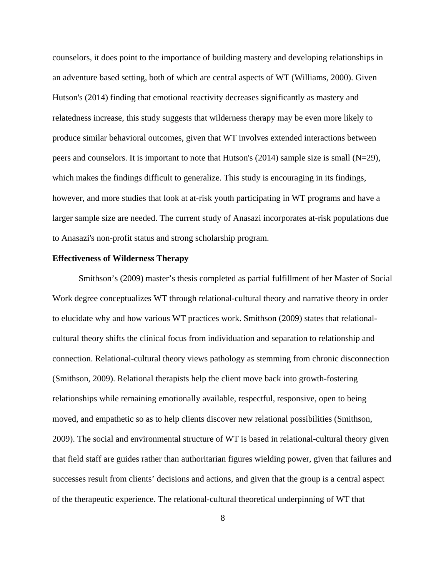counselors, it does point to the importance of building mastery and developing relationships in an adventure based setting, both of which are central aspects of WT (Williams, 2000). Given Hutson's (2014) finding that emotional reactivity decreases significantly as mastery and relatedness increase, this study suggests that wilderness therapy may be even more likely to produce similar behavioral outcomes, given that WT involves extended interactions between peers and counselors. It is important to note that Hutson's (2014) sample size is small (N=29), which makes the findings difficult to generalize. This study is encouraging in its findings, however, and more studies that look at at-risk youth participating in WT programs and have a larger sample size are needed. The current study of Anasazi incorporates at-risk populations due to Anasazi's non-profit status and strong scholarship program.

#### **Effectiveness of Wilderness Therapy**

Smithson's (2009) master's thesis completed as partial fulfillment of her Master of Social Work degree conceptualizes WT through relational-cultural theory and narrative theory in order to elucidate why and how various WT practices work. Smithson (2009) states that relationalcultural theory shifts the clinical focus from individuation and separation to relationship and connection. Relational-cultural theory views pathology as stemming from chronic disconnection (Smithson, 2009). Relational therapists help the client move back into growth-fostering relationships while remaining emotionally available, respectful, responsive, open to being moved, and empathetic so as to help clients discover new relational possibilities (Smithson, 2009). The social and environmental structure of WT is based in relational-cultural theory given that field staff are guides rather than authoritarian figures wielding power, given that failures and successes result from clients' decisions and actions, and given that the group is a central aspect of the therapeutic experience. The relational-cultural theoretical underpinning of WT that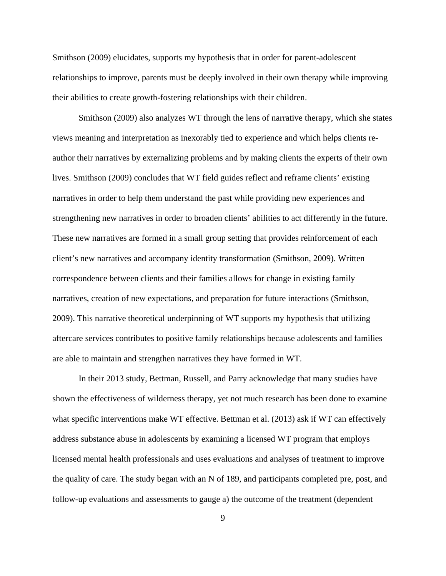Smithson (2009) elucidates, supports my hypothesis that in order for parent-adolescent relationships to improve, parents must be deeply involved in their own therapy while improving their abilities to create growth-fostering relationships with their children.

Smithson (2009) also analyzes WT through the lens of narrative therapy, which she states views meaning and interpretation as inexorably tied to experience and which helps clients reauthor their narratives by externalizing problems and by making clients the experts of their own lives. Smithson (2009) concludes that WT field guides reflect and reframe clients' existing narratives in order to help them understand the past while providing new experiences and strengthening new narratives in order to broaden clients' abilities to act differently in the future. These new narratives are formed in a small group setting that provides reinforcement of each client's new narratives and accompany identity transformation (Smithson, 2009). Written correspondence between clients and their families allows for change in existing family narratives, creation of new expectations, and preparation for future interactions (Smithson, 2009). This narrative theoretical underpinning of WT supports my hypothesis that utilizing aftercare services contributes to positive family relationships because adolescents and families are able to maintain and strengthen narratives they have formed in WT.

In their 2013 study, Bettman, Russell, and Parry acknowledge that many studies have shown the effectiveness of wilderness therapy, yet not much research has been done to examine what specific interventions make WT effective. Bettman et al. (2013) ask if WT can effectively address substance abuse in adolescents by examining a licensed WT program that employs licensed mental health professionals and uses evaluations and analyses of treatment to improve the quality of care. The study began with an N of 189, and participants completed pre, post, and follow-up evaluations and assessments to gauge a) the outcome of the treatment (dependent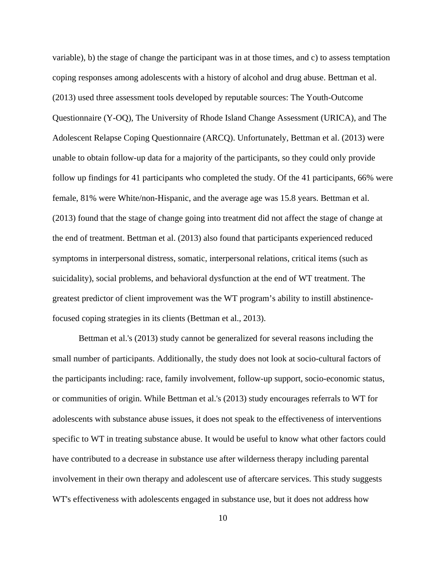variable), b) the stage of change the participant was in at those times, and c) to assess temptation coping responses among adolescents with a history of alcohol and drug abuse. Bettman et al. (2013) used three assessment tools developed by reputable sources: The Youth-Outcome Questionnaire (Y-OQ), The University of Rhode Island Change Assessment (URICA), and The Adolescent Relapse Coping Questionnaire (ARCQ). Unfortunately, Bettman et al. (2013) were unable to obtain follow-up data for a majority of the participants, so they could only provide follow up findings for 41 participants who completed the study. Of the 41 participants, 66% were female, 81% were White/non-Hispanic, and the average age was 15.8 years. Bettman et al. (2013) found that the stage of change going into treatment did not affect the stage of change at the end of treatment. Bettman et al. (2013) also found that participants experienced reduced symptoms in interpersonal distress, somatic, interpersonal relations, critical items (such as suicidality), social problems, and behavioral dysfunction at the end of WT treatment. The greatest predictor of client improvement was the WT program's ability to instill abstinencefocused coping strategies in its clients (Bettman et al., 2013).

Bettman et al.'s (2013) study cannot be generalized for several reasons including the small number of participants. Additionally, the study does not look at socio-cultural factors of the participants including: race, family involvement, follow-up support, socio-economic status, or communities of origin. While Bettman et al.'s (2013) study encourages referrals to WT for adolescents with substance abuse issues, it does not speak to the effectiveness of interventions specific to WT in treating substance abuse. It would be useful to know what other factors could have contributed to a decrease in substance use after wilderness therapy including parental involvement in their own therapy and adolescent use of aftercare services. This study suggests WT's effectiveness with adolescents engaged in substance use, but it does not address how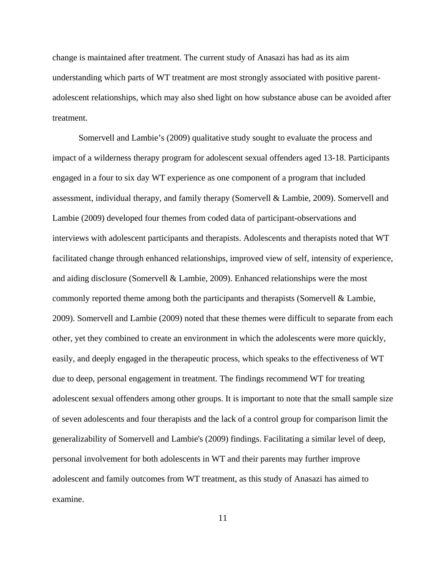change is maintained after treatment. The current study of Anasazi has had as its aim understanding which parts of WT treatment are most strongly associated with positive parentadolescent relationships, which may also shed light on how substance abuse can be avoided after treatment.

Somervell and Lambie's (2009) qualitative study sought to evaluate the process and impact of a wilderness therapy program for adolescent sexual offenders aged 13-18. Participants engaged in a four to six day WT experience as one component of a program that included assessment, individual therapy, and family therapy (Somervell & Lambie, 2009). Somervell and Lambie (2009) developed four themes from coded data of participant-observations and interviews with adolescent participants and therapists. Adolescents and therapists noted that WT facilitated change through enhanced relationships, improved view of self, intensity of experience, and aiding disclosure (Somervell & Lambie, 2009). Enhanced relationships were the most commonly reported theme among both the participants and therapists (Somervell & Lambie, 2009). Somervell and Lambie (2009) noted that these themes were difficult to separate from each other, yet they combined to create an environment in which the adolescents were more quickly, easily, and deeply engaged in the therapeutic process, which speaks to the effectiveness of WT due to deep, personal engagement in treatment. The findings recommend WT for treating adolescent sexual offenders among other groups. It is important to note that the small sample size of seven adolescents and four therapists and the lack of a control group for comparison limit the generalizability of Somervell and Lambie's (2009) findings. Facilitating a similar level of deep, personal involvement for both adolescents in WT and their parents may further improve adolescent and family outcomes from WT treatment, as this study of Anasazi has aimed to examine.

11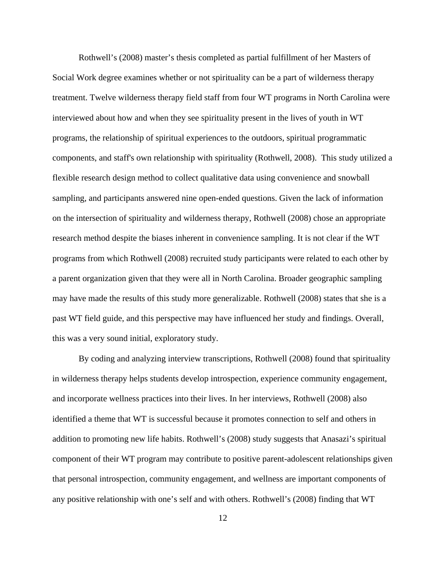Rothwell's (2008) master's thesis completed as partial fulfillment of her Masters of Social Work degree examines whether or not spirituality can be a part of wilderness therapy treatment. Twelve wilderness therapy field staff from four WT programs in North Carolina were interviewed about how and when they see spirituality present in the lives of youth in WT programs, the relationship of spiritual experiences to the outdoors, spiritual programmatic components, and staff's own relationship with spirituality (Rothwell, 2008). This study utilized a flexible research design method to collect qualitative data using convenience and snowball sampling, and participants answered nine open-ended questions. Given the lack of information on the intersection of spirituality and wilderness therapy, Rothwell (2008) chose an appropriate research method despite the biases inherent in convenience sampling. It is not clear if the WT programs from which Rothwell (2008) recruited study participants were related to each other by a parent organization given that they were all in North Carolina. Broader geographic sampling may have made the results of this study more generalizable. Rothwell (2008) states that she is a past WT field guide, and this perspective may have influenced her study and findings. Overall, this was a very sound initial, exploratory study.

By coding and analyzing interview transcriptions, Rothwell (2008) found that spirituality in wilderness therapy helps students develop introspection, experience community engagement, and incorporate wellness practices into their lives. In her interviews, Rothwell (2008) also identified a theme that WT is successful because it promotes connection to self and others in addition to promoting new life habits. Rothwell's (2008) study suggests that Anasazi's spiritual component of their WT program may contribute to positive parent-adolescent relationships given that personal introspection, community engagement, and wellness are important components of any positive relationship with one's self and with others. Rothwell's (2008) finding that WT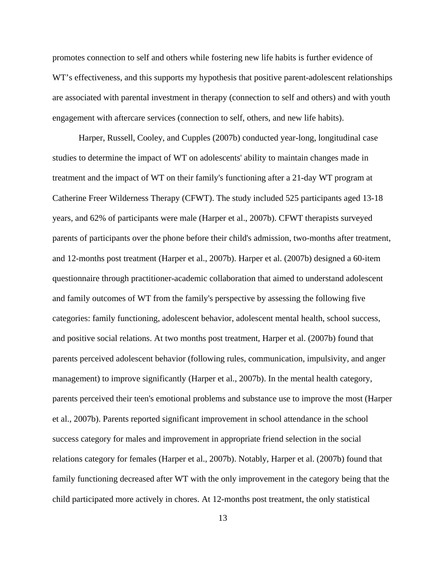promotes connection to self and others while fostering new life habits is further evidence of WT's effectiveness, and this supports my hypothesis that positive parent-adolescent relationships are associated with parental investment in therapy (connection to self and others) and with youth engagement with aftercare services (connection to self, others, and new life habits).

Harper, Russell, Cooley, and Cupples (2007b) conducted year-long, longitudinal case studies to determine the impact of WT on adolescents' ability to maintain changes made in treatment and the impact of WT on their family's functioning after a 21-day WT program at Catherine Freer Wilderness Therapy (CFWT). The study included 525 participants aged 13-18 years, and 62% of participants were male (Harper et al., 2007b). CFWT therapists surveyed parents of participants over the phone before their child's admission, two-months after treatment, and 12-months post treatment (Harper et al., 2007b). Harper et al. (2007b) designed a 60-item questionnaire through practitioner-academic collaboration that aimed to understand adolescent and family outcomes of WT from the family's perspective by assessing the following five categories: family functioning, adolescent behavior, adolescent mental health, school success, and positive social relations. At two months post treatment, Harper et al. (2007b) found that parents perceived adolescent behavior (following rules, communication, impulsivity, and anger management) to improve significantly (Harper et al., 2007b). In the mental health category, parents perceived their teen's emotional problems and substance use to improve the most (Harper et al., 2007b). Parents reported significant improvement in school attendance in the school success category for males and improvement in appropriate friend selection in the social relations category for females (Harper et al., 2007b). Notably, Harper et al. (2007b) found that family functioning decreased after WT with the only improvement in the category being that the child participated more actively in chores. At 12-months post treatment, the only statistical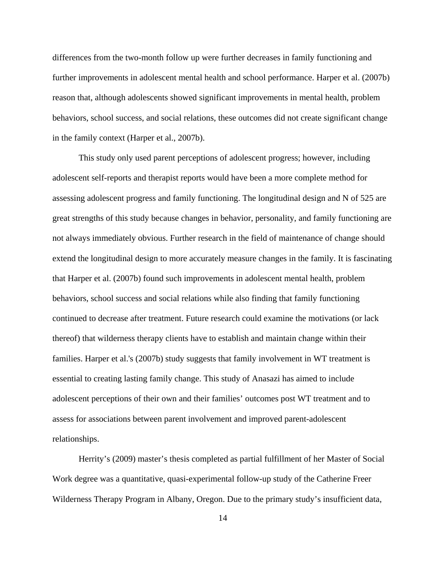differences from the two-month follow up were further decreases in family functioning and further improvements in adolescent mental health and school performance. Harper et al. (2007b) reason that, although adolescents showed significant improvements in mental health, problem behaviors, school success, and social relations, these outcomes did not create significant change in the family context (Harper et al., 2007b).

This study only used parent perceptions of adolescent progress; however, including adolescent self-reports and therapist reports would have been a more complete method for assessing adolescent progress and family functioning. The longitudinal design and N of 525 are great strengths of this study because changes in behavior, personality, and family functioning are not always immediately obvious. Further research in the field of maintenance of change should extend the longitudinal design to more accurately measure changes in the family. It is fascinating that Harper et al. (2007b) found such improvements in adolescent mental health, problem behaviors, school success and social relations while also finding that family functioning continued to decrease after treatment. Future research could examine the motivations (or lack thereof) that wilderness therapy clients have to establish and maintain change within their families. Harper et al.'s (2007b) study suggests that family involvement in WT treatment is essential to creating lasting family change. This study of Anasazi has aimed to include adolescent perceptions of their own and their families' outcomes post WT treatment and to assess for associations between parent involvement and improved parent-adolescent relationships.

Herrity's (2009) master's thesis completed as partial fulfillment of her Master of Social Work degree was a quantitative, quasi-experimental follow-up study of the Catherine Freer Wilderness Therapy Program in Albany, Oregon. Due to the primary study's insufficient data,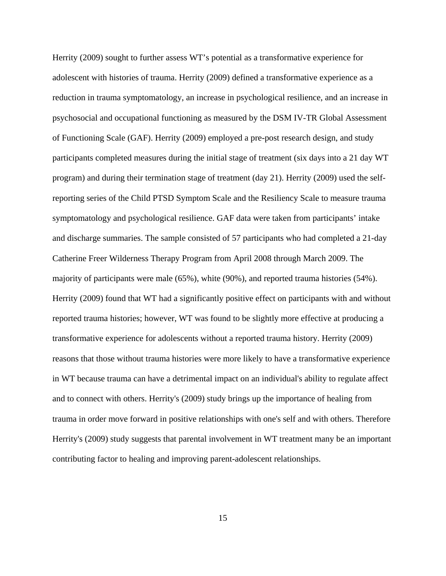Herrity (2009) sought to further assess WT's potential as a transformative experience for adolescent with histories of trauma. Herrity (2009) defined a transformative experience as a reduction in trauma symptomatology, an increase in psychological resilience, and an increase in psychosocial and occupational functioning as measured by the DSM IV-TR Global Assessment of Functioning Scale (GAF). Herrity (2009) employed a pre-post research design, and study participants completed measures during the initial stage of treatment (six days into a 21 day WT program) and during their termination stage of treatment (day 21). Herrity (2009) used the selfreporting series of the Child PTSD Symptom Scale and the Resiliency Scale to measure trauma symptomatology and psychological resilience. GAF data were taken from participants' intake and discharge summaries. The sample consisted of 57 participants who had completed a 21-day Catherine Freer Wilderness Therapy Program from April 2008 through March 2009. The majority of participants were male (65%), white (90%), and reported trauma histories (54%). Herrity (2009) found that WT had a significantly positive effect on participants with and without reported trauma histories; however, WT was found to be slightly more effective at producing a transformative experience for adolescents without a reported trauma history. Herrity (2009) reasons that those without trauma histories were more likely to have a transformative experience in WT because trauma can have a detrimental impact on an individual's ability to regulate affect and to connect with others. Herrity's (2009) study brings up the importance of healing from trauma in order move forward in positive relationships with one's self and with others. Therefore Herrity's (2009) study suggests that parental involvement in WT treatment many be an important contributing factor to healing and improving parent-adolescent relationships.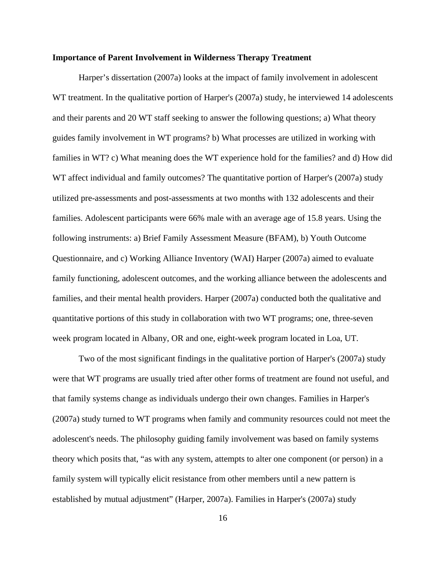#### **Importance of Parent Involvement in Wilderness Therapy Treatment**

Harper's dissertation (2007a) looks at the impact of family involvement in adolescent WT treatment. In the qualitative portion of Harper's (2007a) study, he interviewed 14 adolescents and their parents and 20 WT staff seeking to answer the following questions; a) What theory guides family involvement in WT programs? b) What processes are utilized in working with families in WT? c) What meaning does the WT experience hold for the families? and d) How did WT affect individual and family outcomes? The quantitative portion of Harper's (2007a) study utilized pre-assessments and post-assessments at two months with 132 adolescents and their families. Adolescent participants were 66% male with an average age of 15.8 years. Using the following instruments: a) Brief Family Assessment Measure (BFAM), b) Youth Outcome Questionnaire, and c) Working Alliance Inventory (WAI) Harper (2007a) aimed to evaluate family functioning, adolescent outcomes, and the working alliance between the adolescents and families, and their mental health providers. Harper (2007a) conducted both the qualitative and quantitative portions of this study in collaboration with two WT programs; one, three-seven week program located in Albany, OR and one, eight-week program located in Loa, UT.

 Two of the most significant findings in the qualitative portion of Harper's (2007a) study were that WT programs are usually tried after other forms of treatment are found not useful, and that family systems change as individuals undergo their own changes. Families in Harper's (2007a) study turned to WT programs when family and community resources could not meet the adolescent's needs. The philosophy guiding family involvement was based on family systems theory which posits that, "as with any system, attempts to alter one component (or person) in a family system will typically elicit resistance from other members until a new pattern is established by mutual adjustment" (Harper, 2007a). Families in Harper's (2007a) study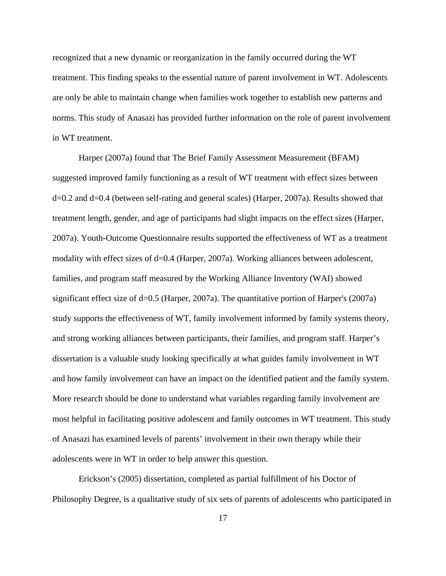recognized that a new dynamic or reorganization in the family occurred during the WT treatment. This finding speaks to the essential nature of parent involvement in WT. Adolescents are only be able to maintain change when families work together to establish new patterns and norms. This study of Anasazi has provided further information on the role of parent involvement in WT treatment.

 Harper (2007a) found that The Brief Family Assessment Measurement (BFAM) suggested improved family functioning as a result of WT treatment with effect sizes between d=0.2 and d=0.4 (between self-rating and general scales) (Harper, 2007a). Results showed that treatment length, gender, and age of participants had slight impacts on the effect sizes (Harper, 2007a). Youth-Outcome Questionnaire results supported the effectiveness of WT as a treatment modality with effect sizes of d=0.4 (Harper, 2007a). Working alliances between adolescent, families, and program staff measured by the Working Alliance Inventory (WAI) showed significant effect size of d=0.5 (Harper, 2007a). The quantitative portion of Harper's (2007a) study supports the effectiveness of WT, family involvement informed by family systems theory, and strong working alliances between participants, their families, and program staff. Harper's dissertation is a valuable study looking specifically at what guides family involvement in WT and how family involvement can have an impact on the identified patient and the family system. More research should be done to understand what variables regarding family involvement are most helpful in facilitating positive adolescent and family outcomes in WT treatment. This study of Anasazi has examined levels of parents' involvement in their own therapy while their adolescents were in WT in order to help answer this question.

Erickson's (2005) dissertation, completed as partial fulfillment of his Doctor of Philosophy Degree, is a qualitative study of six sets of parents of adolescents who participated in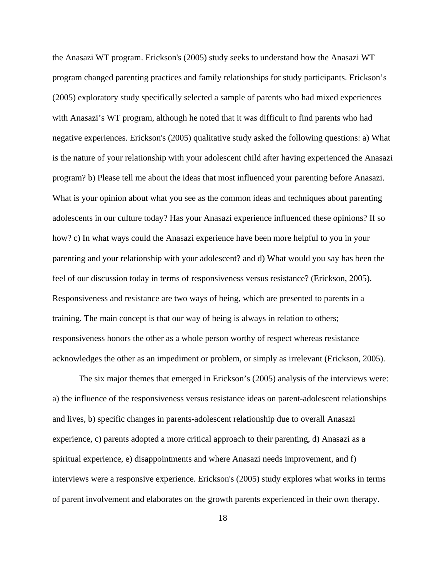the Anasazi WT program. Erickson's (2005) study seeks to understand how the Anasazi WT program changed parenting practices and family relationships for study participants. Erickson's (2005) exploratory study specifically selected a sample of parents who had mixed experiences with Anasazi's WT program, although he noted that it was difficult to find parents who had negative experiences. Erickson's (2005) qualitative study asked the following questions: a) What is the nature of your relationship with your adolescent child after having experienced the Anasazi program? b) Please tell me about the ideas that most influenced your parenting before Anasazi. What is your opinion about what you see as the common ideas and techniques about parenting adolescents in our culture today? Has your Anasazi experience influenced these opinions? If so how? c) In what ways could the Anasazi experience have been more helpful to you in your parenting and your relationship with your adolescent? and d) What would you say has been the feel of our discussion today in terms of responsiveness versus resistance? (Erickson, 2005). Responsiveness and resistance are two ways of being, which are presented to parents in a training. The main concept is that our way of being is always in relation to others; responsiveness honors the other as a whole person worthy of respect whereas resistance acknowledges the other as an impediment or problem, or simply as irrelevant (Erickson, 2005).

The six major themes that emerged in Erickson's (2005) analysis of the interviews were: a) the influence of the responsiveness versus resistance ideas on parent-adolescent relationships and lives, b) specific changes in parents-adolescent relationship due to overall Anasazi experience, c) parents adopted a more critical approach to their parenting, d) Anasazi as a spiritual experience, e) disappointments and where Anasazi needs improvement, and f) interviews were a responsive experience. Erickson's (2005) study explores what works in terms of parent involvement and elaborates on the growth parents experienced in their own therapy.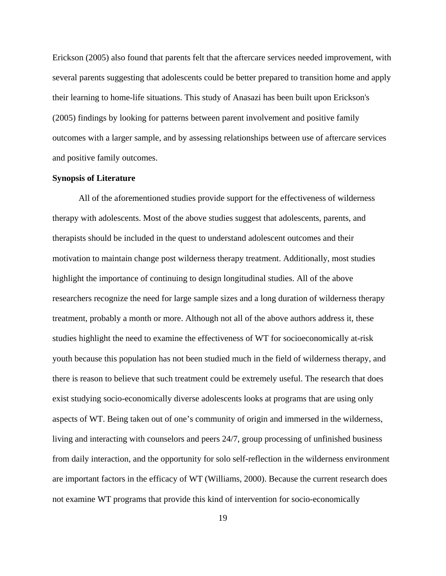Erickson (2005) also found that parents felt that the aftercare services needed improvement, with several parents suggesting that adolescents could be better prepared to transition home and apply their learning to home-life situations. This study of Anasazi has been built upon Erickson's (2005) findings by looking for patterns between parent involvement and positive family outcomes with a larger sample, and by assessing relationships between use of aftercare services and positive family outcomes.

#### **Synopsis of Literature**

All of the aforementioned studies provide support for the effectiveness of wilderness therapy with adolescents. Most of the above studies suggest that adolescents, parents, and therapists should be included in the quest to understand adolescent outcomes and their motivation to maintain change post wilderness therapy treatment. Additionally, most studies highlight the importance of continuing to design longitudinal studies. All of the above researchers recognize the need for large sample sizes and a long duration of wilderness therapy treatment, probably a month or more. Although not all of the above authors address it, these studies highlight the need to examine the effectiveness of WT for socioeconomically at-risk youth because this population has not been studied much in the field of wilderness therapy, and there is reason to believe that such treatment could be extremely useful. The research that does exist studying socio-economically diverse adolescents looks at programs that are using only aspects of WT. Being taken out of one's community of origin and immersed in the wilderness, living and interacting with counselors and peers 24/7, group processing of unfinished business from daily interaction, and the opportunity for solo self-reflection in the wilderness environment are important factors in the efficacy of WT (Williams, 2000). Because the current research does not examine WT programs that provide this kind of intervention for socio-economically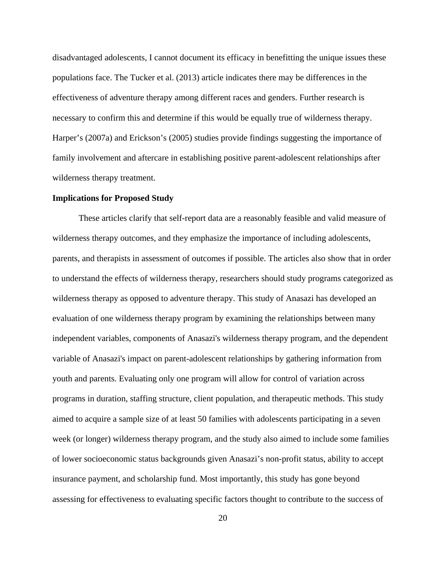disadvantaged adolescents, I cannot document its efficacy in benefitting the unique issues these populations face. The Tucker et al. (2013) article indicates there may be differences in the effectiveness of adventure therapy among different races and genders. Further research is necessary to confirm this and determine if this would be equally true of wilderness therapy. Harper's (2007a) and Erickson's (2005) studies provide findings suggesting the importance of family involvement and aftercare in establishing positive parent-adolescent relationships after wilderness therapy treatment.

#### **Implications for Proposed Study**

These articles clarify that self-report data are a reasonably feasible and valid measure of wilderness therapy outcomes, and they emphasize the importance of including adolescents, parents, and therapists in assessment of outcomes if possible. The articles also show that in order to understand the effects of wilderness therapy, researchers should study programs categorized as wilderness therapy as opposed to adventure therapy. This study of Anasazi has developed an evaluation of one wilderness therapy program by examining the relationships between many independent variables, components of Anasazi's wilderness therapy program, and the dependent variable of Anasazi's impact on parent-adolescent relationships by gathering information from youth and parents. Evaluating only one program will allow for control of variation across programs in duration, staffing structure, client population, and therapeutic methods. This study aimed to acquire a sample size of at least 50 families with adolescents participating in a seven week (or longer) wilderness therapy program, and the study also aimed to include some families of lower socioeconomic status backgrounds given Anasazi's non-profit status, ability to accept insurance payment, and scholarship fund. Most importantly, this study has gone beyond assessing for effectiveness to evaluating specific factors thought to contribute to the success of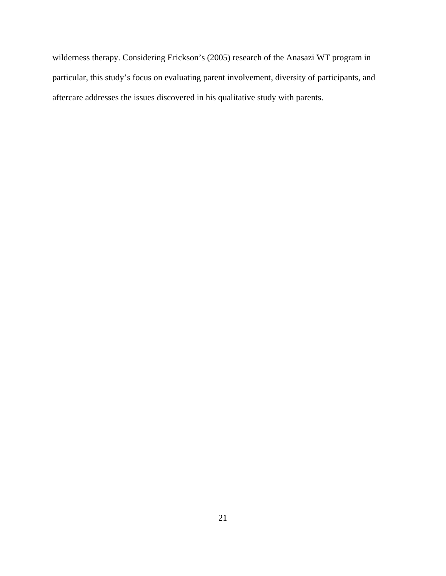wilderness therapy. Considering Erickson's (2005) research of the Anasazi WT program in particular, this study's focus on evaluating parent involvement, diversity of participants, and aftercare addresses the issues discovered in his qualitative study with parents.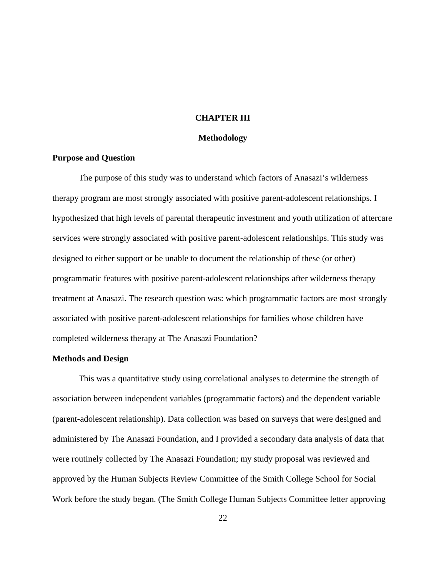#### **CHAPTER III**

#### **Methodology**

#### **Purpose and Question**

The purpose of this study was to understand which factors of Anasazi's wilderness therapy program are most strongly associated with positive parent-adolescent relationships. I hypothesized that high levels of parental therapeutic investment and youth utilization of aftercare services were strongly associated with positive parent-adolescent relationships. This study was designed to either support or be unable to document the relationship of these (or other) programmatic features with positive parent-adolescent relationships after wilderness therapy treatment at Anasazi. The research question was: which programmatic factors are most strongly associated with positive parent-adolescent relationships for families whose children have completed wilderness therapy at The Anasazi Foundation?

#### **Methods and Design**

This was a quantitative study using correlational analyses to determine the strength of association between independent variables (programmatic factors) and the dependent variable (parent-adolescent relationship). Data collection was based on surveys that were designed and administered by The Anasazi Foundation, and I provided a secondary data analysis of data that were routinely collected by The Anasazi Foundation; my study proposal was reviewed and approved by the Human Subjects Review Committee of the Smith College School for Social Work before the study began. (The Smith College Human Subjects Committee letter approving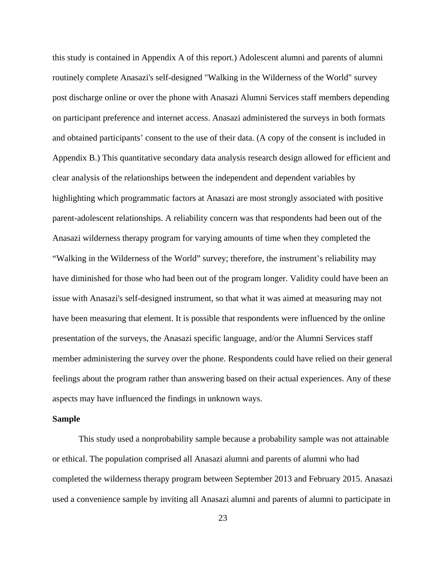this study is contained in Appendix A of this report.) Adolescent alumni and parents of alumni routinely complete Anasazi's self-designed "Walking in the Wilderness of the World" survey post discharge online or over the phone with Anasazi Alumni Services staff members depending on participant preference and internet access. Anasazi administered the surveys in both formats and obtained participants' consent to the use of their data. (A copy of the consent is included in Appendix B.) This quantitative secondary data analysis research design allowed for efficient and clear analysis of the relationships between the independent and dependent variables by highlighting which programmatic factors at Anasazi are most strongly associated with positive parent-adolescent relationships. A reliability concern was that respondents had been out of the Anasazi wilderness therapy program for varying amounts of time when they completed the "Walking in the Wilderness of the World" survey; therefore, the instrument's reliability may have diminished for those who had been out of the program longer. Validity could have been an issue with Anasazi's self-designed instrument, so that what it was aimed at measuring may not have been measuring that element. It is possible that respondents were influenced by the online presentation of the surveys, the Anasazi specific language, and/or the Alumni Services staff member administering the survey over the phone. Respondents could have relied on their general feelings about the program rather than answering based on their actual experiences. Any of these aspects may have influenced the findings in unknown ways.

#### **Sample**

This study used a nonprobability sample because a probability sample was not attainable or ethical. The population comprised all Anasazi alumni and parents of alumni who had completed the wilderness therapy program between September 2013 and February 2015. Anasazi used a convenience sample by inviting all Anasazi alumni and parents of alumni to participate in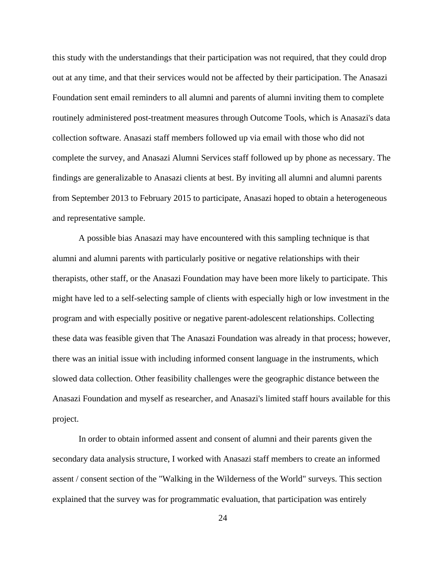this study with the understandings that their participation was not required, that they could drop out at any time, and that their services would not be affected by their participation. The Anasazi Foundation sent email reminders to all alumni and parents of alumni inviting them to complete routinely administered post-treatment measures through Outcome Tools, which is Anasazi's data collection software. Anasazi staff members followed up via email with those who did not complete the survey, and Anasazi Alumni Services staff followed up by phone as necessary. The findings are generalizable to Anasazi clients at best. By inviting all alumni and alumni parents from September 2013 to February 2015 to participate, Anasazi hoped to obtain a heterogeneous and representative sample.

A possible bias Anasazi may have encountered with this sampling technique is that alumni and alumni parents with particularly positive or negative relationships with their therapists, other staff, or the Anasazi Foundation may have been more likely to participate. This might have led to a self-selecting sample of clients with especially high or low investment in the program and with especially positive or negative parent-adolescent relationships. Collecting these data was feasible given that The Anasazi Foundation was already in that process; however, there was an initial issue with including informed consent language in the instruments, which slowed data collection. Other feasibility challenges were the geographic distance between the Anasazi Foundation and myself as researcher, and Anasazi's limited staff hours available for this project.

In order to obtain informed assent and consent of alumni and their parents given the secondary data analysis structure, I worked with Anasazi staff members to create an informed assent / consent section of the "Walking in the Wilderness of the World" surveys. This section explained that the survey was for programmatic evaluation, that participation was entirely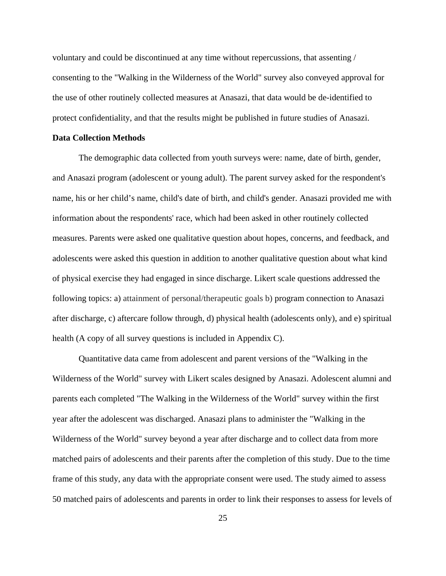voluntary and could be discontinued at any time without repercussions, that assenting / consenting to the "Walking in the Wilderness of the World" survey also conveyed approval for the use of other routinely collected measures at Anasazi, that data would be de-identified to protect confidentiality, and that the results might be published in future studies of Anasazi.

#### **Data Collection Methods**

The demographic data collected from youth surveys were: name, date of birth, gender, and Anasazi program (adolescent or young adult). The parent survey asked for the respondent's name, his or her child's name, child's date of birth, and child's gender. Anasazi provided me with information about the respondents' race, which had been asked in other routinely collected measures. Parents were asked one qualitative question about hopes, concerns, and feedback, and adolescents were asked this question in addition to another qualitative question about what kind of physical exercise they had engaged in since discharge. Likert scale questions addressed the following topics: a) attainment of personal/therapeutic goals b) program connection to Anasazi after discharge, c) aftercare follow through, d) physical health (adolescents only), and e) spiritual health (A copy of all survey questions is included in Appendix C).

Quantitative data came from adolescent and parent versions of the "Walking in the Wilderness of the World" survey with Likert scales designed by Anasazi. Adolescent alumni and parents each completed "The Walking in the Wilderness of the World" survey within the first year after the adolescent was discharged. Anasazi plans to administer the "Walking in the Wilderness of the World" survey beyond a year after discharge and to collect data from more matched pairs of adolescents and their parents after the completion of this study. Due to the time frame of this study, any data with the appropriate consent were used. The study aimed to assess 50 matched pairs of adolescents and parents in order to link their responses to assess for levels of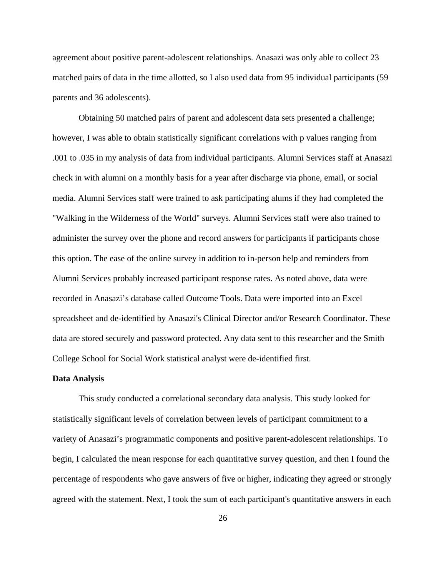agreement about positive parent-adolescent relationships. Anasazi was only able to collect 23 matched pairs of data in the time allotted, so I also used data from 95 individual participants (59 parents and 36 adolescents).

Obtaining 50 matched pairs of parent and adolescent data sets presented a challenge; however, I was able to obtain statistically significant correlations with p values ranging from .001 to .035 in my analysis of data from individual participants. Alumni Services staff at Anasazi check in with alumni on a monthly basis for a year after discharge via phone, email, or social media. Alumni Services staff were trained to ask participating alums if they had completed the "Walking in the Wilderness of the World" surveys. Alumni Services staff were also trained to administer the survey over the phone and record answers for participants if participants chose this option. The ease of the online survey in addition to in-person help and reminders from Alumni Services probably increased participant response rates. As noted above, data were recorded in Anasazi's database called Outcome Tools. Data were imported into an Excel spreadsheet and de-identified by Anasazi's Clinical Director and/or Research Coordinator. These data are stored securely and password protected. Any data sent to this researcher and the Smith College School for Social Work statistical analyst were de-identified first.

#### **Data Analysis**

This study conducted a correlational secondary data analysis. This study looked for statistically significant levels of correlation between levels of participant commitment to a variety of Anasazi's programmatic components and positive parent-adolescent relationships. To begin, I calculated the mean response for each quantitative survey question, and then I found the percentage of respondents who gave answers of five or higher, indicating they agreed or strongly agreed with the statement. Next, I took the sum of each participant's quantitative answers in each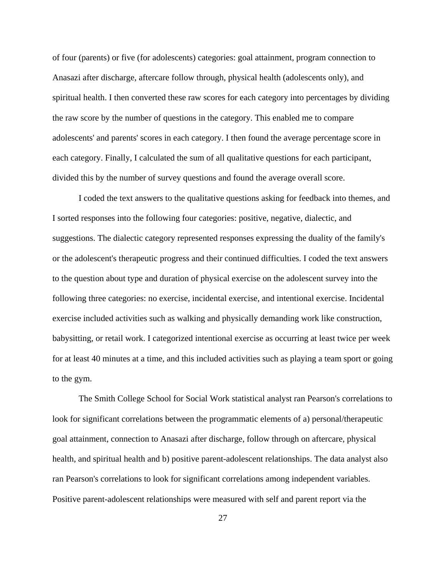of four (parents) or five (for adolescents) categories: goal attainment, program connection to Anasazi after discharge, aftercare follow through, physical health (adolescents only), and spiritual health. I then converted these raw scores for each category into percentages by dividing the raw score by the number of questions in the category. This enabled me to compare adolescents' and parents' scores in each category. I then found the average percentage score in each category. Finally, I calculated the sum of all qualitative questions for each participant, divided this by the number of survey questions and found the average overall score.

I coded the text answers to the qualitative questions asking for feedback into themes, and I sorted responses into the following four categories: positive, negative, dialectic, and suggestions. The dialectic category represented responses expressing the duality of the family's or the adolescent's therapeutic progress and their continued difficulties. I coded the text answers to the question about type and duration of physical exercise on the adolescent survey into the following three categories: no exercise, incidental exercise, and intentional exercise. Incidental exercise included activities such as walking and physically demanding work like construction, babysitting, or retail work. I categorized intentional exercise as occurring at least twice per week for at least 40 minutes at a time, and this included activities such as playing a team sport or going to the gym.

The Smith College School for Social Work statistical analyst ran Pearson's correlations to look for significant correlations between the programmatic elements of a) personal/therapeutic goal attainment, connection to Anasazi after discharge, follow through on aftercare, physical health, and spiritual health and b) positive parent-adolescent relationships. The data analyst also ran Pearson's correlations to look for significant correlations among independent variables. Positive parent-adolescent relationships were measured with self and parent report via the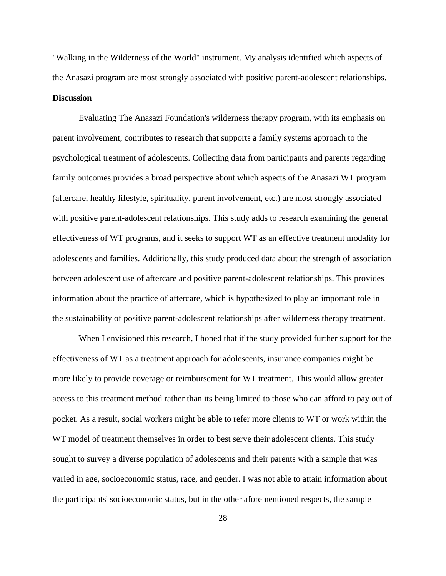"Walking in the Wilderness of the World" instrument. My analysis identified which aspects of the Anasazi program are most strongly associated with positive parent-adolescent relationships. **Discussion** 

Evaluating The Anasazi Foundation's wilderness therapy program, with its emphasis on parent involvement, contributes to research that supports a family systems approach to the psychological treatment of adolescents. Collecting data from participants and parents regarding family outcomes provides a broad perspective about which aspects of the Anasazi WT program (aftercare, healthy lifestyle, spirituality, parent involvement, etc.) are most strongly associated with positive parent-adolescent relationships. This study adds to research examining the general effectiveness of WT programs, and it seeks to support WT as an effective treatment modality for adolescents and families. Additionally, this study produced data about the strength of association between adolescent use of aftercare and positive parent-adolescent relationships. This provides information about the practice of aftercare, which is hypothesized to play an important role in the sustainability of positive parent-adolescent relationships after wilderness therapy treatment.

When I envisioned this research, I hoped that if the study provided further support for the effectiveness of WT as a treatment approach for adolescents, insurance companies might be more likely to provide coverage or reimbursement for WT treatment. This would allow greater access to this treatment method rather than its being limited to those who can afford to pay out of pocket. As a result, social workers might be able to refer more clients to WT or work within the WT model of treatment themselves in order to best serve their adolescent clients. This study sought to survey a diverse population of adolescents and their parents with a sample that was varied in age, socioeconomic status, race, and gender. I was not able to attain information about the participants' socioeconomic status, but in the other aforementioned respects, the sample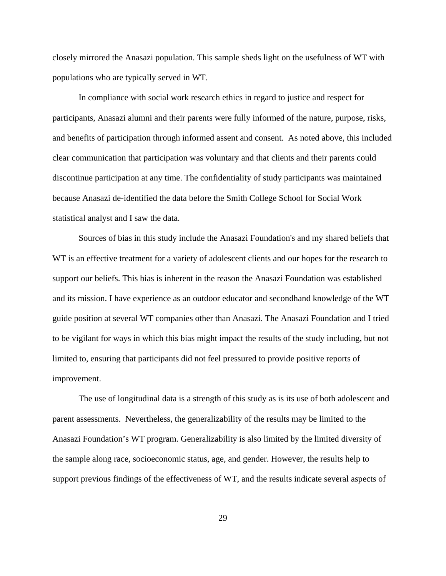closely mirrored the Anasazi population. This sample sheds light on the usefulness of WT with populations who are typically served in WT.

In compliance with social work research ethics in regard to justice and respect for participants, Anasazi alumni and their parents were fully informed of the nature, purpose, risks, and benefits of participation through informed assent and consent. As noted above, this included clear communication that participation was voluntary and that clients and their parents could discontinue participation at any time. The confidentiality of study participants was maintained because Anasazi de-identified the data before the Smith College School for Social Work statistical analyst and I saw the data.

Sources of bias in this study include the Anasazi Foundation's and my shared beliefs that WT is an effective treatment for a variety of adolescent clients and our hopes for the research to support our beliefs. This bias is inherent in the reason the Anasazi Foundation was established and its mission. I have experience as an outdoor educator and secondhand knowledge of the WT guide position at several WT companies other than Anasazi. The Anasazi Foundation and I tried to be vigilant for ways in which this bias might impact the results of the study including, but not limited to, ensuring that participants did not feel pressured to provide positive reports of improvement.

The use of longitudinal data is a strength of this study as is its use of both adolescent and parent assessments. Nevertheless, the generalizability of the results may be limited to the Anasazi Foundation's WT program. Generalizability is also limited by the limited diversity of the sample along race, socioeconomic status, age, and gender. However, the results help to support previous findings of the effectiveness of WT, and the results indicate several aspects of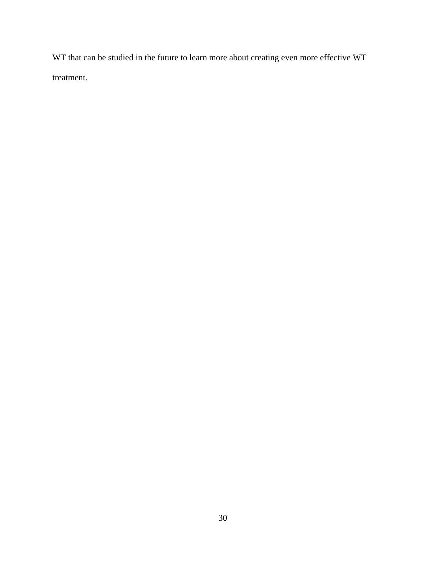WT that can be studied in the future to learn more about creating even more effective WT treatment.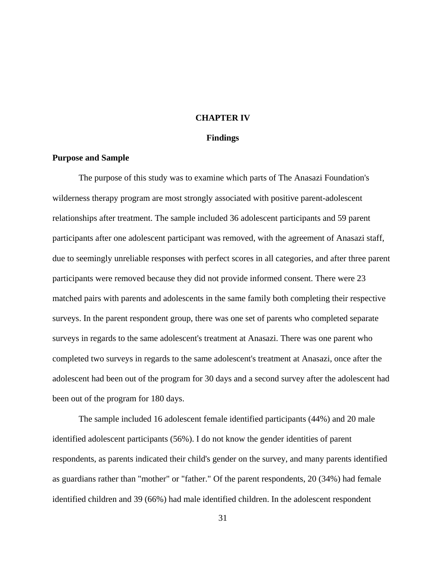## **CHAPTER IV**

#### **Findings**

### **Purpose and Sample**

The purpose of this study was to examine which parts of The Anasazi Foundation's wilderness therapy program are most strongly associated with positive parent-adolescent relationships after treatment. The sample included 36 adolescent participants and 59 parent participants after one adolescent participant was removed, with the agreement of Anasazi staff, due to seemingly unreliable responses with perfect scores in all categories, and after three parent participants were removed because they did not provide informed consent. There were 23 matched pairs with parents and adolescents in the same family both completing their respective surveys. In the parent respondent group, there was one set of parents who completed separate surveys in regards to the same adolescent's treatment at Anasazi. There was one parent who completed two surveys in regards to the same adolescent's treatment at Anasazi, once after the adolescent had been out of the program for 30 days and a second survey after the adolescent had been out of the program for 180 days.

The sample included 16 adolescent female identified participants (44%) and 20 male identified adolescent participants (56%). I do not know the gender identities of parent respondents, as parents indicated their child's gender on the survey, and many parents identified as guardians rather than "mother" or "father." Of the parent respondents, 20 (34%) had female identified children and 39 (66%) had male identified children. In the adolescent respondent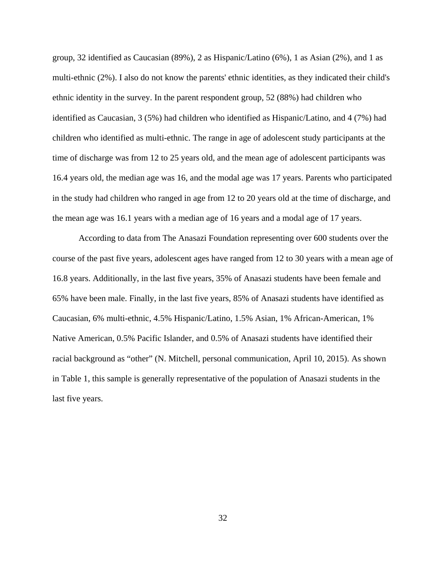group, 32 identified as Caucasian (89%), 2 as Hispanic/Latino (6%), 1 as Asian (2%), and 1 as multi-ethnic (2%). I also do not know the parents' ethnic identities, as they indicated their child's ethnic identity in the survey. In the parent respondent group, 52 (88%) had children who identified as Caucasian, 3 (5%) had children who identified as Hispanic/Latino, and 4 (7%) had children who identified as multi-ethnic. The range in age of adolescent study participants at the time of discharge was from 12 to 25 years old, and the mean age of adolescent participants was 16.4 years old, the median age was 16, and the modal age was 17 years. Parents who participated in the study had children who ranged in age from 12 to 20 years old at the time of discharge, and the mean age was 16.1 years with a median age of 16 years and a modal age of 17 years.

According to data from The Anasazi Foundation representing over 600 students over the course of the past five years, adolescent ages have ranged from 12 to 30 years with a mean age of 16.8 years. Additionally, in the last five years, 35% of Anasazi students have been female and 65% have been male. Finally, in the last five years, 85% of Anasazi students have identified as Caucasian, 6% multi-ethnic, 4.5% Hispanic/Latino, 1.5% Asian, 1% African-American, 1% Native American, 0.5% Pacific Islander, and 0.5% of Anasazi students have identified their racial background as "other" (N. Mitchell, personal communication, April 10, 2015). As shown in Table 1, this sample is generally representative of the population of Anasazi students in the last five years.

32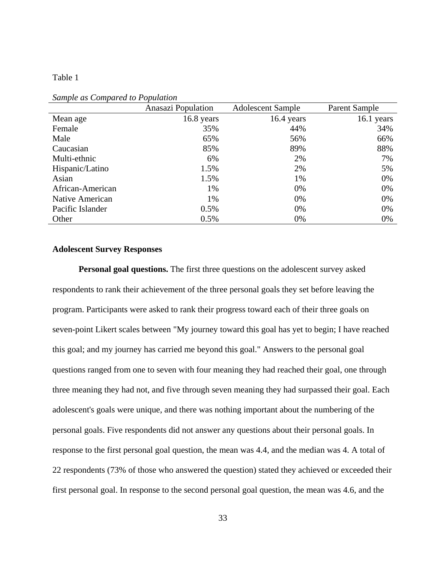# Table 1

|                  | <b>Anasazi Population</b> | <b>Adolescent Sample</b> | Parent Sample |
|------------------|---------------------------|--------------------------|---------------|
| Mean age         | 16.8 years                | 16.4 years               | 16.1 years    |
| Female           | 35%                       | 44%                      | 34%           |
| Male             | 65%                       | 56%                      | 66%           |
| Caucasian        | 85%                       | 89%                      | 88%           |
| Multi-ethnic     | 6%                        | 2%                       | 7%            |
| Hispanic/Latino  | 1.5%                      | 2%                       | 5%            |
| Asian            | 1.5%                      | 1%                       | 0%            |
| African-American | 1%                        | 0%                       | 0%            |
| Native American  | 1%                        | 0%                       | 0%            |
| Pacific Islander | 0.5%                      | 0%                       | 0%            |
| Other            | 0.5%                      | 0%                       | 0%            |

*Sample as Compared to Population* 

## **Adolescent Survey Responses**

**Personal goal questions.** The first three questions on the adolescent survey asked respondents to rank their achievement of the three personal goals they set before leaving the program. Participants were asked to rank their progress toward each of their three goals on seven-point Likert scales between "My journey toward this goal has yet to begin; I have reached this goal; and my journey has carried me beyond this goal." Answers to the personal goal questions ranged from one to seven with four meaning they had reached their goal, one through three meaning they had not, and five through seven meaning they had surpassed their goal. Each adolescent's goals were unique, and there was nothing important about the numbering of the personal goals. Five respondents did not answer any questions about their personal goals. In response to the first personal goal question, the mean was 4.4, and the median was 4. A total of 22 respondents (73% of those who answered the question) stated they achieved or exceeded their first personal goal. In response to the second personal goal question, the mean was 4.6, and the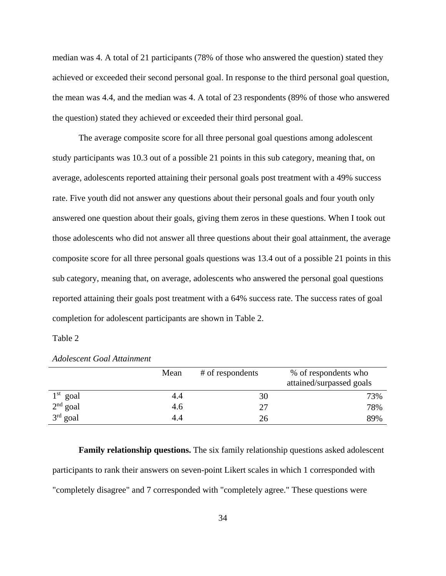median was 4. A total of 21 participants (78% of those who answered the question) stated they achieved or exceeded their second personal goal. In response to the third personal goal question, the mean was 4.4, and the median was 4. A total of 23 respondents (89% of those who answered the question) stated they achieved or exceeded their third personal goal.

The average composite score for all three personal goal questions among adolescent study participants was 10.3 out of a possible 21 points in this sub category, meaning that, on average, adolescents reported attaining their personal goals post treatment with a 49% success rate. Five youth did not answer any questions about their personal goals and four youth only answered one question about their goals, giving them zeros in these questions. When I took out those adolescents who did not answer all three questions about their goal attainment, the average composite score for all three personal goals questions was 13.4 out of a possible 21 points in this sub category, meaning that, on average, adolescents who answered the personal goal questions reported attaining their goals post treatment with a 64% success rate. The success rates of goal completion for adolescent participants are shown in Table 2.

Table 2

|            | Mean | # of respondents | % of respondents who<br>attained/surpassed goals |
|------------|------|------------------|--------------------------------------------------|
| $1st$ goal | 4.4  | 30               | 73%                                              |
| $2nd$ goal | 4.6  | 27               | 78%                                              |
| $3rd$ goal | 4.4  | 26               | 89%                                              |

## *Adolescent Goal Attainment*

**Family relationship questions.** The six family relationship questions asked adolescent participants to rank their answers on seven-point Likert scales in which 1 corresponded with "completely disagree" and 7 corresponded with "completely agree." These questions were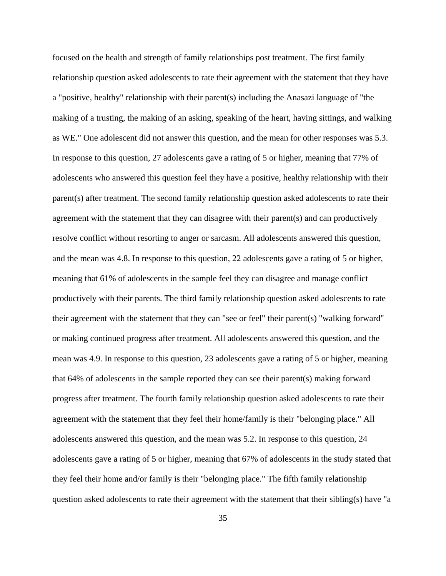focused on the health and strength of family relationships post treatment. The first family relationship question asked adolescents to rate their agreement with the statement that they have a "positive, healthy" relationship with their parent(s) including the Anasazi language of "the making of a trusting, the making of an asking, speaking of the heart, having sittings, and walking as WE." One adolescent did not answer this question, and the mean for other responses was 5.3. In response to this question, 27 adolescents gave a rating of 5 or higher, meaning that 77% of adolescents who answered this question feel they have a positive, healthy relationship with their parent(s) after treatment. The second family relationship question asked adolescents to rate their agreement with the statement that they can disagree with their parent(s) and can productively resolve conflict without resorting to anger or sarcasm. All adolescents answered this question, and the mean was 4.8. In response to this question, 22 adolescents gave a rating of 5 or higher, meaning that 61% of adolescents in the sample feel they can disagree and manage conflict productively with their parents. The third family relationship question asked adolescents to rate their agreement with the statement that they can "see or feel" their parent(s) "walking forward" or making continued progress after treatment. All adolescents answered this question, and the mean was 4.9. In response to this question, 23 adolescents gave a rating of 5 or higher, meaning that 64% of adolescents in the sample reported they can see their parent(s) making forward progress after treatment. The fourth family relationship question asked adolescents to rate their agreement with the statement that they feel their home/family is their "belonging place." All adolescents answered this question, and the mean was 5.2. In response to this question, 24 adolescents gave a rating of 5 or higher, meaning that 67% of adolescents in the study stated that they feel their home and/or family is their "belonging place." The fifth family relationship question asked adolescents to rate their agreement with the statement that their sibling(s) have "a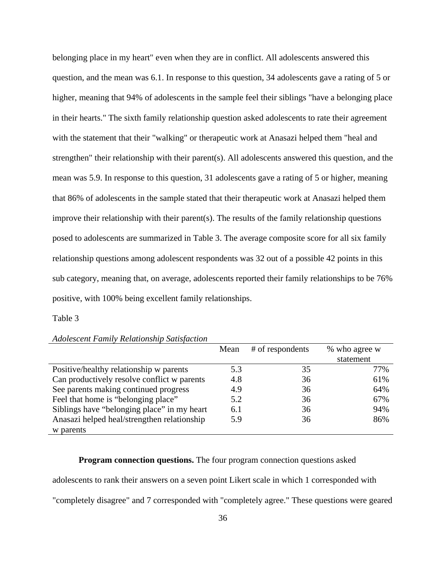belonging place in my heart" even when they are in conflict. All adolescents answered this question, and the mean was 6.1. In response to this question, 34 adolescents gave a rating of 5 or higher, meaning that 94% of adolescents in the sample feel their siblings "have a belonging place in their hearts." The sixth family relationship question asked adolescents to rate their agreement with the statement that their "walking" or therapeutic work at Anasazi helped them "heal and strengthen" their relationship with their parent(s). All adolescents answered this question, and the mean was 5.9. In response to this question, 31 adolescents gave a rating of 5 or higher, meaning that 86% of adolescents in the sample stated that their therapeutic work at Anasazi helped them improve their relationship with their parent(s). The results of the family relationship questions posed to adolescents are summarized in Table 3. The average composite score for all six family relationship questions among adolescent respondents was 32 out of a possible 42 points in this sub category, meaning that, on average, adolescents reported their family relationships to be 76% positive, with 100% being excellent family relationships.

### Table 3

|                                             | Mean | # of respondents | % who agree w |
|---------------------------------------------|------|------------------|---------------|
|                                             |      |                  | statement     |
| Positive/healthy relationship w parents     | 5.3  | 35               | 77%           |
| Can productively resolve conflict w parents | 4.8  | 36               | 61%           |
| See parents making continued progress       | 4.9  | 36               | 64%           |
| Feel that home is "belonging place"         | 5.2  | 36               | 67%           |
| Siblings have "belonging place" in my heart | 6.1  | 36               | 94%           |
| Anasazi helped heal/strengthen relationship | 5.9  | 36               | 86%           |
| w parents                                   |      |                  |               |

*Adolescent Family Relationship Satisfaction* 

# **Program connection questions.** The four program connection questions asked

adolescents to rank their answers on a seven point Likert scale in which 1 corresponded with

"completely disagree" and 7 corresponded with "completely agree." These questions were geared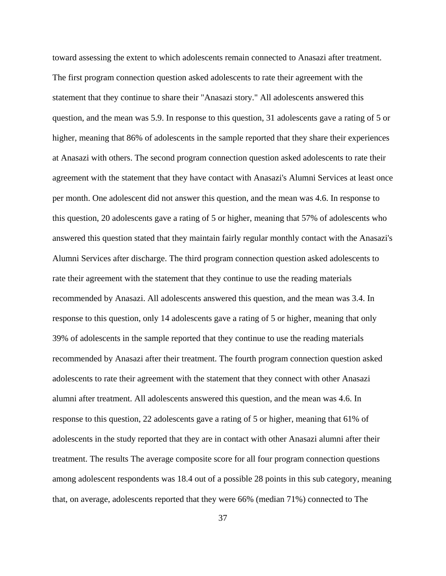toward assessing the extent to which adolescents remain connected to Anasazi after treatment. The first program connection question asked adolescents to rate their agreement with the statement that they continue to share their "Anasazi story." All adolescents answered this question, and the mean was 5.9. In response to this question, 31 adolescents gave a rating of 5 or higher, meaning that 86% of adolescents in the sample reported that they share their experiences at Anasazi with others. The second program connection question asked adolescents to rate their agreement with the statement that they have contact with Anasazi's Alumni Services at least once per month. One adolescent did not answer this question, and the mean was 4.6. In response to this question, 20 adolescents gave a rating of 5 or higher, meaning that 57% of adolescents who answered this question stated that they maintain fairly regular monthly contact with the Anasazi's Alumni Services after discharge. The third program connection question asked adolescents to rate their agreement with the statement that they continue to use the reading materials recommended by Anasazi. All adolescents answered this question, and the mean was 3.4. In response to this question, only 14 adolescents gave a rating of 5 or higher, meaning that only 39% of adolescents in the sample reported that they continue to use the reading materials recommended by Anasazi after their treatment. The fourth program connection question asked adolescents to rate their agreement with the statement that they connect with other Anasazi alumni after treatment. All adolescents answered this question, and the mean was 4.6. In response to this question, 22 adolescents gave a rating of 5 or higher, meaning that 61% of adolescents in the study reported that they are in contact with other Anasazi alumni after their treatment. The results The average composite score for all four program connection questions among adolescent respondents was 18.4 out of a possible 28 points in this sub category, meaning that, on average, adolescents reported that they were 66% (median 71%) connected to The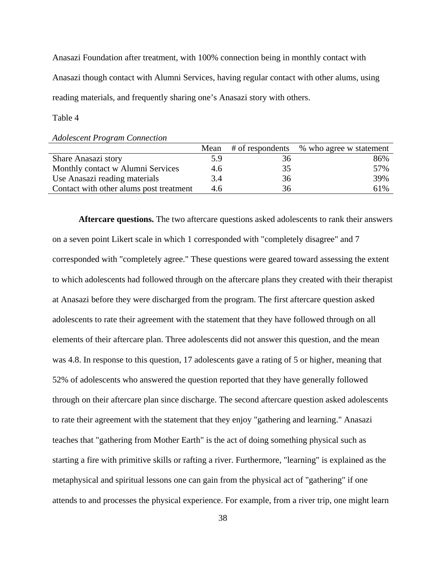Anasazi Foundation after treatment, with 100% connection being in monthly contact with Anasazi though contact with Alumni Services, having regular contact with other alums, using reading materials, and frequently sharing one's Anasazi story with others.

Table 4

| <b>Adolescent Program Connection</b> |  |
|--------------------------------------|--|
|--------------------------------------|--|

|                                         | Mean | # of respondents | % who agree w statement |
|-----------------------------------------|------|------------------|-------------------------|
| Share Anasazi story                     | 5.9  | 36               | 86%                     |
| Monthly contact w Alumni Services       | 4.6  | 35               | 57%                     |
| Use Anasazi reading materials           | 3.4  | 36               | 39%                     |
| Contact with other alums post treatment | 4.6  | 36               | 61%                     |

**Aftercare questions.** The two aftercare questions asked adolescents to rank their answers on a seven point Likert scale in which 1 corresponded with "completely disagree" and 7 corresponded with "completely agree." These questions were geared toward assessing the extent to which adolescents had followed through on the aftercare plans they created with their therapist at Anasazi before they were discharged from the program. The first aftercare question asked adolescents to rate their agreement with the statement that they have followed through on all elements of their aftercare plan. Three adolescents did not answer this question, and the mean was 4.8. In response to this question, 17 adolescents gave a rating of 5 or higher, meaning that 52% of adolescents who answered the question reported that they have generally followed through on their aftercare plan since discharge. The second aftercare question asked adolescents to rate their agreement with the statement that they enjoy "gathering and learning." Anasazi teaches that "gathering from Mother Earth" is the act of doing something physical such as starting a fire with primitive skills or rafting a river. Furthermore, "learning" is explained as the metaphysical and spiritual lessons one can gain from the physical act of "gathering" if one attends to and processes the physical experience. For example, from a river trip, one might learn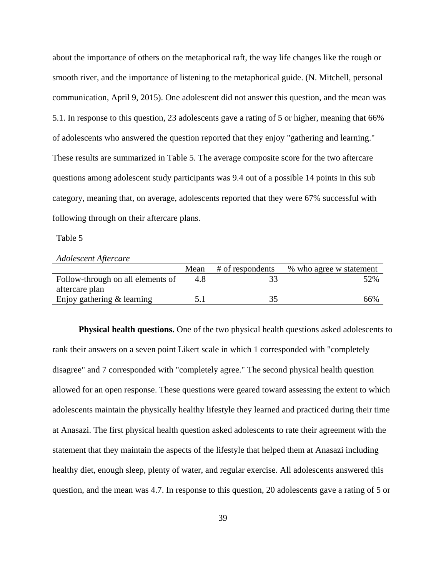about the importance of others on the metaphorical raft, the way life changes like the rough or smooth river, and the importance of listening to the metaphorical guide. (N. Mitchell, personal communication, April 9, 2015). One adolescent did not answer this question, and the mean was 5.1. In response to this question, 23 adolescents gave a rating of 5 or higher, meaning that 66% of adolescents who answered the question reported that they enjoy "gathering and learning." These results are summarized in Table 5. The average composite score for the two aftercare questions among adolescent study participants was 9.4 out of a possible 14 points in this sub category, meaning that, on average, adolescents reported that they were 67% successful with following through on their aftercare plans.

Table 5

*Adolescent Aftercare* 

|                                   | Mean | # of respondents | % who agree w statement |
|-----------------------------------|------|------------------|-------------------------|
| Follow-through on all elements of | 4.X  |                  | 52%                     |
| aftercare plan                    |      |                  |                         |
| Enjoy gathering $&$ learning      |      |                  | 66%                     |

**Physical health questions.** One of the two physical health questions asked adolescents to rank their answers on a seven point Likert scale in which 1 corresponded with "completely disagree" and 7 corresponded with "completely agree." The second physical health question allowed for an open response. These questions were geared toward assessing the extent to which adolescents maintain the physically healthy lifestyle they learned and practiced during their time at Anasazi. The first physical health question asked adolescents to rate their agreement with the statement that they maintain the aspects of the lifestyle that helped them at Anasazi including healthy diet, enough sleep, plenty of water, and regular exercise. All adolescents answered this question, and the mean was 4.7. In response to this question, 20 adolescents gave a rating of 5 or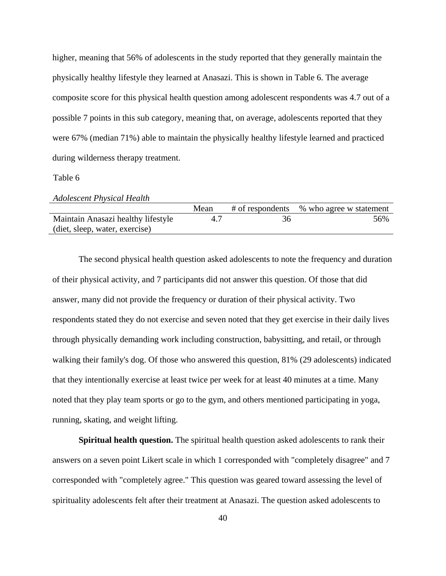higher, meaning that 56% of adolescents in the study reported that they generally maintain the physically healthy lifestyle they learned at Anasazi. This is shown in Table 6. The average composite score for this physical health question among adolescent respondents was 4.7 out of a possible 7 points in this sub category, meaning that, on average, adolescents reported that they were 67% (median 71%) able to maintain the physically healthy lifestyle learned and practiced during wilderness therapy treatment.

#### Table 6

|                                    | Mean | # of respondents % who agree w statement |
|------------------------------------|------|------------------------------------------|
| Maintain Anasazi healthy lifestyle | 4.7  | 56%                                      |
| (diet, sleep, water, exercise)     |      |                                          |

The second physical health question asked adolescents to note the frequency and duration of their physical activity, and 7 participants did not answer this question. Of those that did answer, many did not provide the frequency or duration of their physical activity. Two respondents stated they do not exercise and seven noted that they get exercise in their daily lives through physically demanding work including construction, babysitting, and retail, or through walking their family's dog. Of those who answered this question, 81% (29 adolescents) indicated that they intentionally exercise at least twice per week for at least 40 minutes at a time. Many noted that they play team sports or go to the gym, and others mentioned participating in yoga, running, skating, and weight lifting.

**Spiritual health question.** The spiritual health question asked adolescents to rank their answers on a seven point Likert scale in which 1 corresponded with "completely disagree" and 7 corresponded with "completely agree." This question was geared toward assessing the level of spirituality adolescents felt after their treatment at Anasazi. The question asked adolescents to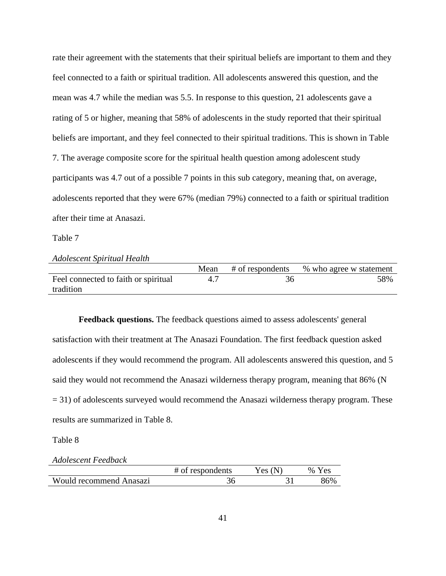rate their agreement with the statements that their spiritual beliefs are important to them and they feel connected to a faith or spiritual tradition. All adolescents answered this question, and the mean was 4.7 while the median was 5.5. In response to this question, 21 adolescents gave a rating of 5 or higher, meaning that 58% of adolescents in the study reported that their spiritual beliefs are important, and they feel connected to their spiritual traditions. This is shown in Table 7. The average composite score for the spiritual health question among adolescent study participants was 4.7 out of a possible 7 points in this sub category, meaning that, on average, adolescents reported that they were 67% (median 79%) connected to a faith or spiritual tradition after their time at Anasazi.

Table 7

# *Adolescent Spiritual Health*

|                                      | Mean | # of respondents | % who agree w statement |
|--------------------------------------|------|------------------|-------------------------|
| Feel connected to faith or spiritual |      | 36               | 58%                     |
| tradition                            |      |                  |                         |

**Feedback questions.** The feedback questions aimed to assess adolescents' general satisfaction with their treatment at The Anasazi Foundation. The first feedback question asked adolescents if they would recommend the program. All adolescents answered this question, and 5 said they would not recommend the Anasazi wilderness therapy program, meaning that 86% (N = 31) of adolescents surveyed would recommend the Anasazi wilderness therapy program. These results are summarized in Table 8.

Table 8

#### *Adolescent Feedback*

|                         | # of respondents | Yes (N) | Yes.<br>$\%$ |
|-------------------------|------------------|---------|--------------|
| Would recommend Anasazi |                  |         | 86%          |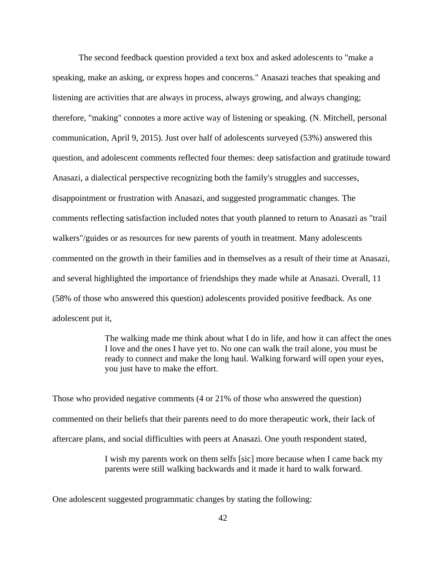The second feedback question provided a text box and asked adolescents to "make a speaking, make an asking, or express hopes and concerns." Anasazi teaches that speaking and listening are activities that are always in process, always growing, and always changing; therefore, "making" connotes a more active way of listening or speaking. (N. Mitchell, personal communication, April 9, 2015). Just over half of adolescents surveyed (53%) answered this question, and adolescent comments reflected four themes: deep satisfaction and gratitude toward Anasazi, a dialectical perspective recognizing both the family's struggles and successes, disappointment or frustration with Anasazi, and suggested programmatic changes. The comments reflecting satisfaction included notes that youth planned to return to Anasazi as "trail walkers"/guides or as resources for new parents of youth in treatment. Many adolescents commented on the growth in their families and in themselves as a result of their time at Anasazi, and several highlighted the importance of friendships they made while at Anasazi. Overall, 11 (58% of those who answered this question) adolescents provided positive feedback. As one adolescent put it,

> The walking made me think about what I do in life, and how it can affect the ones I love and the ones I have yet to. No one can walk the trail alone, you must be ready to connect and make the long haul. Walking forward will open your eyes, you just have to make the effort.

Those who provided negative comments (4 or 21% of those who answered the question) commented on their beliefs that their parents need to do more therapeutic work, their lack of aftercare plans, and social difficulties with peers at Anasazi. One youth respondent stated,

> I wish my parents work on them selfs [sic] more because when I came back my parents were still walking backwards and it made it hard to walk forward.

One adolescent suggested programmatic changes by stating the following: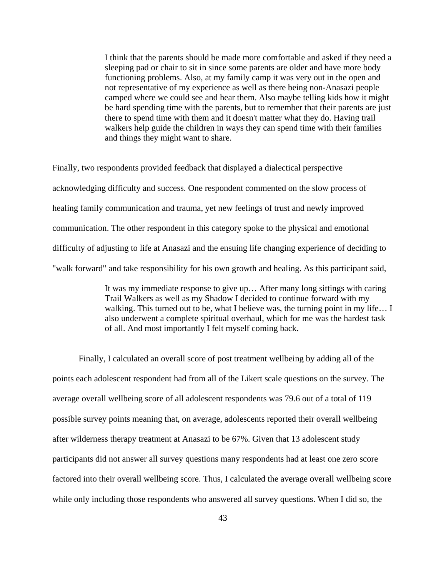I think that the parents should be made more comfortable and asked if they need a sleeping pad or chair to sit in since some parents are older and have more body functioning problems. Also, at my family camp it was very out in the open and not representative of my experience as well as there being non-Anasazi people camped where we could see and hear them. Also maybe telling kids how it might be hard spending time with the parents, but to remember that their parents are just there to spend time with them and it doesn't matter what they do. Having trail walkers help guide the children in ways they can spend time with their families and things they might want to share.

Finally, two respondents provided feedback that displayed a dialectical perspective acknowledging difficulty and success. One respondent commented on the slow process of healing family communication and trauma, yet new feelings of trust and newly improved communication. The other respondent in this category spoke to the physical and emotional difficulty of adjusting to life at Anasazi and the ensuing life changing experience of deciding to "walk forward" and take responsibility for his own growth and healing. As this participant said,

> It was my immediate response to give up… After many long sittings with caring Trail Walkers as well as my Shadow I decided to continue forward with my walking. This turned out to be, what I believe was, the turning point in my life... I also underwent a complete spiritual overhaul, which for me was the hardest task of all. And most importantly I felt myself coming back.

Finally, I calculated an overall score of post treatment wellbeing by adding all of the points each adolescent respondent had from all of the Likert scale questions on the survey. The average overall wellbeing score of all adolescent respondents was 79.6 out of a total of 119 possible survey points meaning that, on average, adolescents reported their overall wellbeing after wilderness therapy treatment at Anasazi to be 67%. Given that 13 adolescent study participants did not answer all survey questions many respondents had at least one zero score factored into their overall wellbeing score. Thus, I calculated the average overall wellbeing score while only including those respondents who answered all survey questions. When I did so, the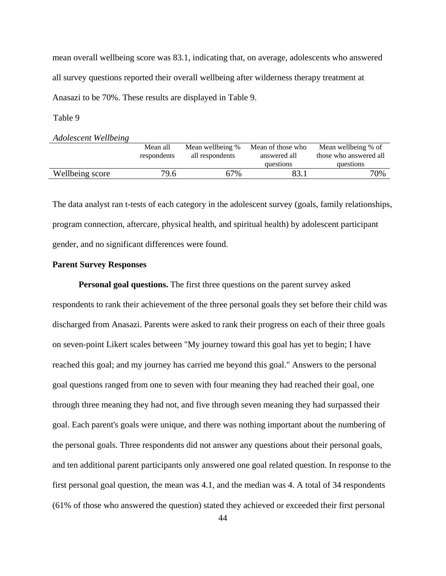mean overall wellbeing score was 83.1, indicating that, on average, adolescents who answered all survey questions reported their overall wellbeing after wilderness therapy treatment at Anasazi to be 70%. These results are displayed in Table 9.

Table 9

*Adolescent Wellbeing* 

|                 | Mean all    | Mean wellbeing % | Mean of those who | Mean wellbeing % of    |
|-----------------|-------------|------------------|-------------------|------------------------|
|                 | respondents | all respondents  | answered all      | those who answered all |
|                 |             |                  | questions         | questions              |
| Wellbeing score | 79.6        | 67%              |                   | 70%                    |
|                 |             |                  |                   |                        |

The data analyst ran t-tests of each category in the adolescent survey (goals, family relationships, program connection, aftercare, physical health, and spiritual health) by adolescent participant gender, and no significant differences were found.

# **Parent Survey Responses**

**Personal goal questions.** The first three questions on the parent survey asked respondents to rank their achievement of the three personal goals they set before their child was discharged from Anasazi. Parents were asked to rank their progress on each of their three goals on seven-point Likert scales between "My journey toward this goal has yet to begin; I have reached this goal; and my journey has carried me beyond this goal." Answers to the personal goal questions ranged from one to seven with four meaning they had reached their goal, one through three meaning they had not, and five through seven meaning they had surpassed their goal. Each parent's goals were unique, and there was nothing important about the numbering of the personal goals. Three respondents did not answer any questions about their personal goals, and ten additional parent participants only answered one goal related question. In response to the first personal goal question, the mean was 4.1, and the median was 4. A total of 34 respondents (61% of those who answered the question) stated they achieved or exceeded their first personal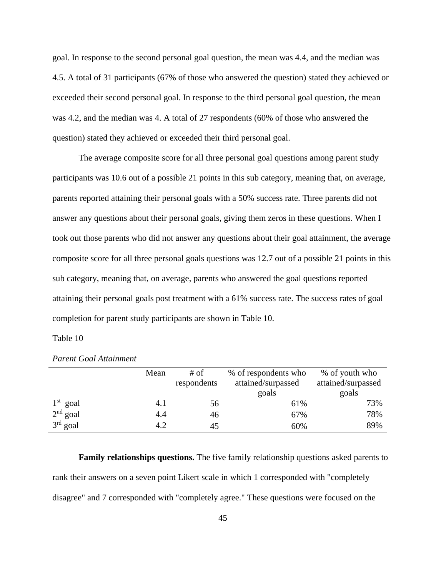goal. In response to the second personal goal question, the mean was 4.4, and the median was 4.5. A total of 31 participants (67% of those who answered the question) stated they achieved or exceeded their second personal goal. In response to the third personal goal question, the mean was 4.2, and the median was 4. A total of 27 respondents (60% of those who answered the question) stated they achieved or exceeded their third personal goal.

The average composite score for all three personal goal questions among parent study participants was 10.6 out of a possible 21 points in this sub category, meaning that, on average, parents reported attaining their personal goals with a 50% success rate. Three parents did not answer any questions about their personal goals, giving them zeros in these questions. When I took out those parents who did not answer any questions about their goal attainment, the average composite score for all three personal goals questions was 12.7 out of a possible 21 points in this sub category, meaning that, on average, parents who answered the goal questions reported attaining their personal goals post treatment with a 61% success rate. The success rates of goal completion for parent study participants are shown in Table 10.

### Table 10

|            | Mean | # of<br>respondents | % of respondents who<br>attained/surpassed | % of youth who<br>attained/surpassed |
|------------|------|---------------------|--------------------------------------------|--------------------------------------|
|            |      |                     | goals                                      | goals                                |
| $1st$ goal | 4.1  | 56                  | 61%                                        | 73%                                  |
| $2nd$ goal | 4.4  | 46                  | 67%                                        | 78%                                  |
| $3rd$ goal | 4.2  | 45                  | 60%                                        | 89%                                  |

*Parent Goal Attainment* 

**Family relationships questions.** The five family relationship questions asked parents to rank their answers on a seven point Likert scale in which 1 corresponded with "completely disagree" and 7 corresponded with "completely agree." These questions were focused on the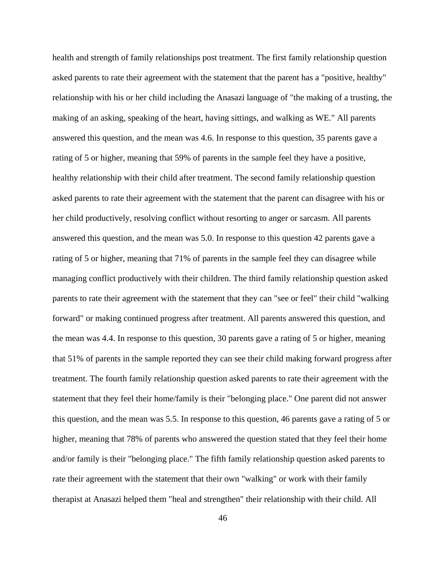health and strength of family relationships post treatment. The first family relationship question asked parents to rate their agreement with the statement that the parent has a "positive, healthy" relationship with his or her child including the Anasazi language of "the making of a trusting, the making of an asking, speaking of the heart, having sittings, and walking as WE." All parents answered this question, and the mean was 4.6. In response to this question, 35 parents gave a rating of 5 or higher, meaning that 59% of parents in the sample feel they have a positive, healthy relationship with their child after treatment. The second family relationship question asked parents to rate their agreement with the statement that the parent can disagree with his or her child productively, resolving conflict without resorting to anger or sarcasm. All parents answered this question, and the mean was 5.0. In response to this question 42 parents gave a rating of 5 or higher, meaning that 71% of parents in the sample feel they can disagree while managing conflict productively with their children. The third family relationship question asked parents to rate their agreement with the statement that they can "see or feel" their child "walking forward" or making continued progress after treatment. All parents answered this question, and the mean was 4.4. In response to this question, 30 parents gave a rating of 5 or higher, meaning that 51% of parents in the sample reported they can see their child making forward progress after treatment. The fourth family relationship question asked parents to rate their agreement with the statement that they feel their home/family is their "belonging place." One parent did not answer this question, and the mean was 5.5. In response to this question, 46 parents gave a rating of 5 or higher, meaning that 78% of parents who answered the question stated that they feel their home and/or family is their "belonging place." The fifth family relationship question asked parents to rate their agreement with the statement that their own "walking" or work with their family therapist at Anasazi helped them "heal and strengthen" their relationship with their child. All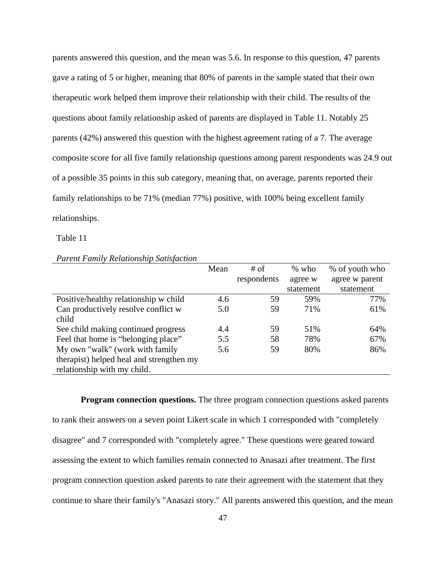parents answered this question, and the mean was 5.6. In response to this question, 47 parents gave a rating of 5 or higher, meaning that 80% of parents in the sample stated that their own therapeutic work helped them improve their relationship with their child. The results of the questions about family relationship asked of parents are displayed in Table 11. Notably 25 parents (42%) answered this question with the highest agreement rating of a 7. The average composite score for all five family relationship questions among parent respondents was 24.9 out of a possible 35 points in this sub category, meaning that, on average, parents reported their family relationships to be 71% (median 77%) positive, with 100% being excellent family relationships.

Table 11

|                                          | Mean | # of        | $%$ who   | % of youth who |
|------------------------------------------|------|-------------|-----------|----------------|
|                                          |      | respondents | agree w   | agree w parent |
|                                          |      |             | statement | statement      |
| Positive/healthy relationship w child    | 4.6  | 59          | 59%       | 77%            |
| Can productively resolve conflict w      | 5.0  | 59          | 71%       | 61%            |
| child                                    |      |             |           |                |
| See child making continued progress      | 4.4  | 59          | 51%       | 64%            |
| Feel that home is "belonging place"      | 5.5  | 58          | 78%       | 67%            |
| My own "walk" (work with family          | 5.6  | 59          | 80%       | 86%            |
| therapist) helped heal and strengthen my |      |             |           |                |
| relationship with my child.              |      |             |           |                |

*Parent Family Relationship Satisfaction* 

**Program connection questions.** The three program connection questions asked parents to rank their answers on a seven point Likert scale in which 1 corresponded with "completely disagree" and 7 corresponded with "completely agree." These questions were geared toward assessing the extent to which families remain connected to Anasazi after treatment. The first program connection question asked parents to rate their agreement with the statement that they continue to share their family's "Anasazi story." All parents answered this question, and the mean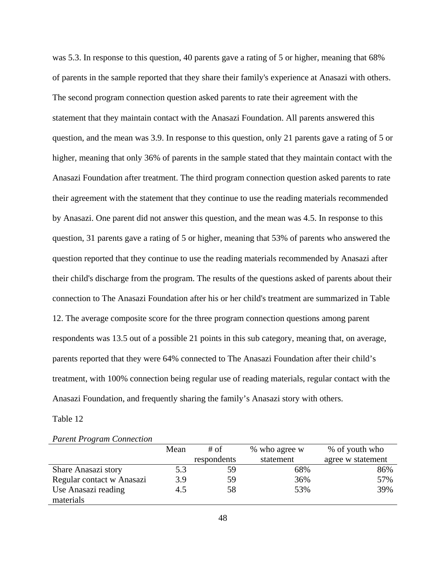was 5.3. In response to this question, 40 parents gave a rating of 5 or higher, meaning that 68% of parents in the sample reported that they share their family's experience at Anasazi with others. The second program connection question asked parents to rate their agreement with the statement that they maintain contact with the Anasazi Foundation. All parents answered this question, and the mean was 3.9. In response to this question, only 21 parents gave a rating of 5 or higher, meaning that only 36% of parents in the sample stated that they maintain contact with the Anasazi Foundation after treatment. The third program connection question asked parents to rate their agreement with the statement that they continue to use the reading materials recommended by Anasazi. One parent did not answer this question, and the mean was 4.5. In response to this question, 31 parents gave a rating of 5 or higher, meaning that 53% of parents who answered the question reported that they continue to use the reading materials recommended by Anasazi after their child's discharge from the program. The results of the questions asked of parents about their connection to The Anasazi Foundation after his or her child's treatment are summarized in Table 12. The average composite score for the three program connection questions among parent respondents was 13.5 out of a possible 21 points in this sub category, meaning that, on average, parents reported that they were 64% connected to The Anasazi Foundation after their child's treatment, with 100% connection being regular use of reading materials, regular contact with the Anasazi Foundation, and frequently sharing the family's Anasazi story with others.

Table 12

|                           | Mean | # of<br>% who agree w |           | % of youth who    |
|---------------------------|------|-----------------------|-----------|-------------------|
|                           |      | respondents           | statement | agree w statement |
| Share Anasazi story       | 5.3  | 59                    | 68%       | 86%               |
| Regular contact w Anasazi | 3.9  | 59                    | 36%       | 57%               |
| Use Anasazi reading       | 4.5  | 58                    | 53%       | 39%               |
| materials                 |      |                       |           |                   |

|  |  | <b>Parent Program Connection</b> |
|--|--|----------------------------------|
|--|--|----------------------------------|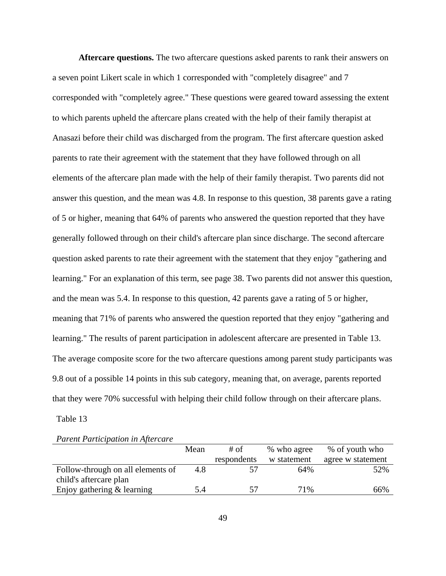**Aftercare questions.** The two aftercare questions asked parents to rank their answers on a seven point Likert scale in which 1 corresponded with "completely disagree" and 7 corresponded with "completely agree." These questions were geared toward assessing the extent to which parents upheld the aftercare plans created with the help of their family therapist at Anasazi before their child was discharged from the program. The first aftercare question asked parents to rate their agreement with the statement that they have followed through on all elements of the aftercare plan made with the help of their family therapist. Two parents did not answer this question, and the mean was 4.8. In response to this question, 38 parents gave a rating of 5 or higher, meaning that 64% of parents who answered the question reported that they have generally followed through on their child's aftercare plan since discharge. The second aftercare question asked parents to rate their agreement with the statement that they enjoy "gathering and learning." For an explanation of this term, see page 38. Two parents did not answer this question, and the mean was 5.4. In response to this question, 42 parents gave a rating of 5 or higher, meaning that 71% of parents who answered the question reported that they enjoy "gathering and learning." The results of parent participation in adolescent aftercare are presented in Table 13. The average composite score for the two aftercare questions among parent study participants was 9.8 out of a possible 14 points in this sub category, meaning that, on average, parents reported that they were 70% successful with helping their child follow through on their aftercare plans. Table 13

*Parent Participation in Aftercare* 

|                                   | Mean | $#$ of      | % who agree | % of youth who    |
|-----------------------------------|------|-------------|-------------|-------------------|
|                                   |      | respondents | w statement | agree w statement |
| Follow-through on all elements of | 4.8  |             | 64%         | 52%               |
| child's aftercare plan            |      |             |             |                   |
| Enjoy gathering & learning        | 5.4  | 57          | 71%         | 66%               |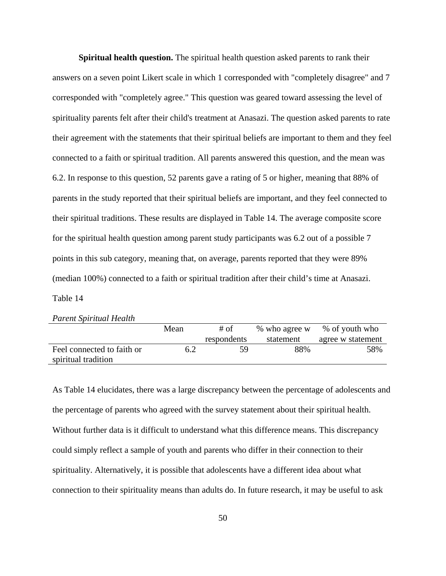**Spiritual health question.** The spiritual health question asked parents to rank their answers on a seven point Likert scale in which 1 corresponded with "completely disagree" and 7 corresponded with "completely agree." This question was geared toward assessing the level of spirituality parents felt after their child's treatment at Anasazi. The question asked parents to rate their agreement with the statements that their spiritual beliefs are important to them and they feel connected to a faith or spiritual tradition. All parents answered this question, and the mean was 6.2. In response to this question, 52 parents gave a rating of 5 or higher, meaning that 88% of parents in the study reported that their spiritual beliefs are important, and they feel connected to their spiritual traditions. These results are displayed in Table 14. The average composite score for the spiritual health question among parent study participants was 6.2 out of a possible 7 points in this sub category, meaning that, on average, parents reported that they were 89% (median 100%) connected to a faith or spiritual tradition after their child's time at Anasazi. Table 14

| <b>Parent Spiritual Health</b> |  |  |
|--------------------------------|--|--|
|--------------------------------|--|--|

|                            | Mean | # of        | % who agree w | % of youth who    |
|----------------------------|------|-------------|---------------|-------------------|
|                            |      | respondents | statement     | agree w statement |
| Feel connected to faith or | 6.2  | 59          | 88%           | 58%               |
| spiritual tradition        |      |             |               |                   |

As Table 14 elucidates, there was a large discrepancy between the percentage of adolescents and the percentage of parents who agreed with the survey statement about their spiritual health. Without further data is it difficult to understand what this difference means. This discrepancy could simply reflect a sample of youth and parents who differ in their connection to their spirituality. Alternatively, it is possible that adolescents have a different idea about what connection to their spirituality means than adults do. In future research, it may be useful to ask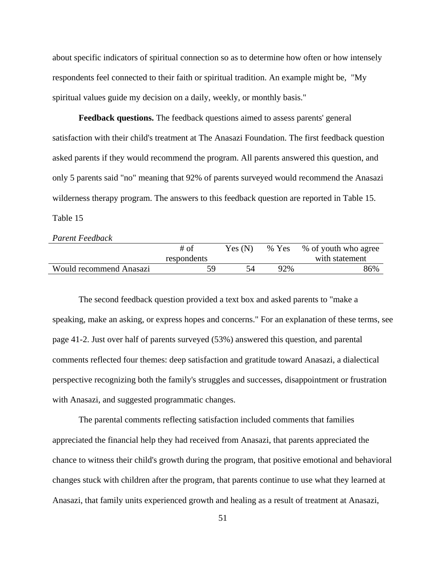about specific indicators of spiritual connection so as to determine how often or how intensely respondents feel connected to their faith or spiritual tradition. An example might be, "My spiritual values guide my decision on a daily, weekly, or monthly basis."

**Feedback questions.** The feedback questions aimed to assess parents' general satisfaction with their child's treatment at The Anasazi Foundation. The first feedback question asked parents if they would recommend the program. All parents answered this question, and only 5 parents said "no" meaning that 92% of parents surveyed would recommend the Anasazi wilderness therapy program. The answers to this feedback question are reported in Table 15. Table 15

*Parent Feedback* 

|                                | $#$ of      | Yes(N) | % Yes | % of youth who agree |
|--------------------------------|-------------|--------|-------|----------------------|
|                                | respondents |        |       | with statement       |
| <b>Would recommend Anasazi</b> | 59          |        | 92%   | 86%                  |

The second feedback question provided a text box and asked parents to "make a speaking, make an asking, or express hopes and concerns." For an explanation of these terms, see page 41-2. Just over half of parents surveyed (53%) answered this question, and parental comments reflected four themes: deep satisfaction and gratitude toward Anasazi, a dialectical perspective recognizing both the family's struggles and successes, disappointment or frustration with Anasazi, and suggested programmatic changes.

The parental comments reflecting satisfaction included comments that families appreciated the financial help they had received from Anasazi, that parents appreciated the chance to witness their child's growth during the program, that positive emotional and behavioral changes stuck with children after the program, that parents continue to use what they learned at Anasazi, that family units experienced growth and healing as a result of treatment at Anasazi,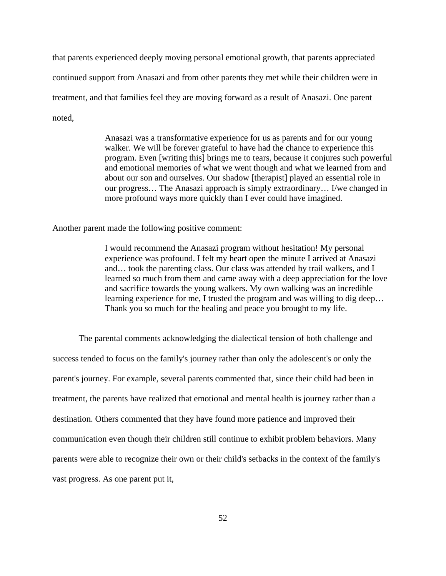that parents experienced deeply moving personal emotional growth, that parents appreciated continued support from Anasazi and from other parents they met while their children were in treatment, and that families feel they are moving forward as a result of Anasazi. One parent noted,

> Anasazi was a transformative experience for us as parents and for our young walker. We will be forever grateful to have had the chance to experience this program. Even [writing this] brings me to tears, because it conjures such powerful and emotional memories of what we went though and what we learned from and about our son and ourselves. Our shadow [therapist] played an essential role in our progress… The Anasazi approach is simply extraordinary… I/we changed in more profound ways more quickly than I ever could have imagined.

Another parent made the following positive comment:

I would recommend the Anasazi program without hesitation! My personal experience was profound. I felt my heart open the minute I arrived at Anasazi and… took the parenting class. Our class was attended by trail walkers, and I learned so much from them and came away with a deep appreciation for the love and sacrifice towards the young walkers. My own walking was an incredible learning experience for me, I trusted the program and was willing to dig deep… Thank you so much for the healing and peace you brought to my life.

The parental comments acknowledging the dialectical tension of both challenge and success tended to focus on the family's journey rather than only the adolescent's or only the parent's journey. For example, several parents commented that, since their child had been in treatment, the parents have realized that emotional and mental health is journey rather than a destination. Others commented that they have found more patience and improved their communication even though their children still continue to exhibit problem behaviors. Many parents were able to recognize their own or their child's setbacks in the context of the family's vast progress. As one parent put it,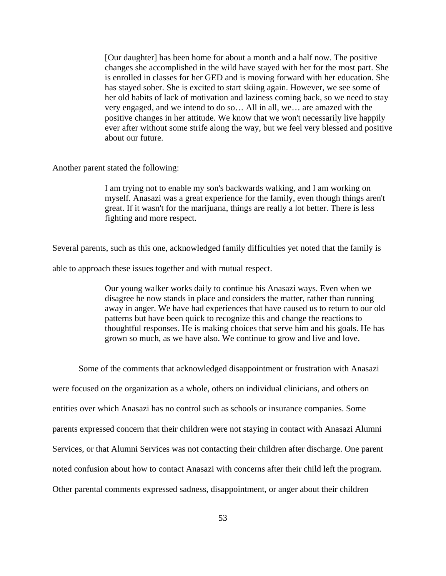[Our daughter] has been home for about a month and a half now. The positive changes she accomplished in the wild have stayed with her for the most part. She is enrolled in classes for her GED and is moving forward with her education. She has stayed sober. She is excited to start skiing again. However, we see some of her old habits of lack of motivation and laziness coming back, so we need to stay very engaged, and we intend to do so… All in all, we… are amazed with the positive changes in her attitude. We know that we won't necessarily live happily ever after without some strife along the way, but we feel very blessed and positive about our future.

Another parent stated the following:

I am trying not to enable my son's backwards walking, and I am working on myself. Anasazi was a great experience for the family, even though things aren't great. If it wasn't for the marijuana, things are really a lot better. There is less fighting and more respect.

Several parents, such as this one, acknowledged family difficulties yet noted that the family is

able to approach these issues together and with mutual respect.

Our young walker works daily to continue his Anasazi ways. Even when we disagree he now stands in place and considers the matter, rather than running away in anger. We have had experiences that have caused us to return to our old patterns but have been quick to recognize this and change the reactions to thoughtful responses. He is making choices that serve him and his goals. He has grown so much, as we have also. We continue to grow and live and love.

Some of the comments that acknowledged disappointment or frustration with Anasazi were focused on the organization as a whole, others on individual clinicians, and others on entities over which Anasazi has no control such as schools or insurance companies. Some parents expressed concern that their children were not staying in contact with Anasazi Alumni Services, or that Alumni Services was not contacting their children after discharge. One parent noted confusion about how to contact Anasazi with concerns after their child left the program. Other parental comments expressed sadness, disappointment, or anger about their children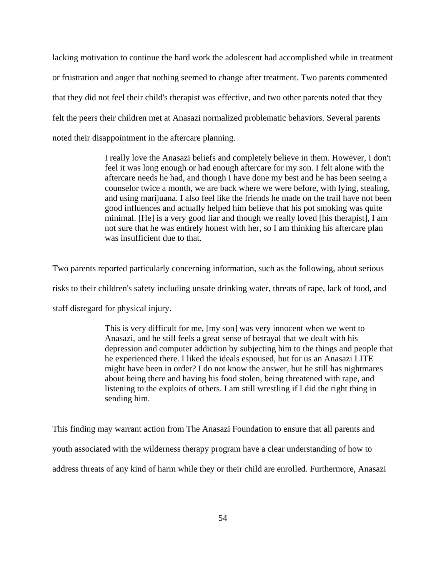lacking motivation to continue the hard work the adolescent had accomplished while in treatment or frustration and anger that nothing seemed to change after treatment. Two parents commented that they did not feel their child's therapist was effective, and two other parents noted that they felt the peers their children met at Anasazi normalized problematic behaviors. Several parents noted their disappointment in the aftercare planning.

> I really love the Anasazi beliefs and completely believe in them. However, I don't feel it was long enough or had enough aftercare for my son. I felt alone with the aftercare needs he had, and though I have done my best and he has been seeing a counselor twice a month, we are back where we were before, with lying, stealing, and using marijuana. I also feel like the friends he made on the trail have not been good influences and actually helped him believe that his pot smoking was quite minimal. [He] is a very good liar and though we really loved [his therapist], I am not sure that he was entirely honest with her, so I am thinking his aftercare plan was insufficient due to that.

Two parents reported particularly concerning information, such as the following, about serious risks to their children's safety including unsafe drinking water, threats of rape, lack of food, and staff disregard for physical injury.

> This is very difficult for me, [my son] was very innocent when we went to Anasazi, and he still feels a great sense of betrayal that we dealt with his depression and computer addiction by subjecting him to the things and people that he experienced there. I liked the ideals espoused, but for us an Anasazi LITE might have been in order? I do not know the answer, but he still has nightmares about being there and having his food stolen, being threatened with rape, and listening to the exploits of others. I am still wrestling if I did the right thing in sending him.

This finding may warrant action from The Anasazi Foundation to ensure that all parents and youth associated with the wilderness therapy program have a clear understanding of how to address threats of any kind of harm while they or their child are enrolled. Furthermore, Anasazi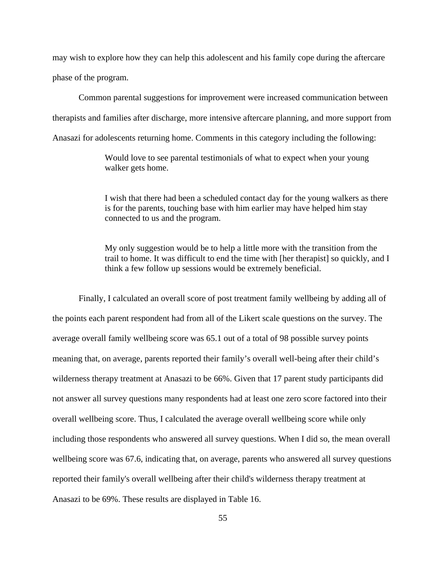may wish to explore how they can help this adolescent and his family cope during the aftercare phase of the program.

Common parental suggestions for improvement were increased communication between therapists and families after discharge, more intensive aftercare planning, and more support from Anasazi for adolescents returning home. Comments in this category including the following:

> Would love to see parental testimonials of what to expect when your young walker gets home.

I wish that there had been a scheduled contact day for the young walkers as there is for the parents, touching base with him earlier may have helped him stay connected to us and the program.

My only suggestion would be to help a little more with the transition from the trail to home. It was difficult to end the time with [her therapist] so quickly, and I think a few follow up sessions would be extremely beneficial.

Finally, I calculated an overall score of post treatment family wellbeing by adding all of the points each parent respondent had from all of the Likert scale questions on the survey. The average overall family wellbeing score was 65.1 out of a total of 98 possible survey points meaning that, on average, parents reported their family's overall well-being after their child's wilderness therapy treatment at Anasazi to be 66%. Given that 17 parent study participants did not answer all survey questions many respondents had at least one zero score factored into their overall wellbeing score. Thus, I calculated the average overall wellbeing score while only including those respondents who answered all survey questions. When I did so, the mean overall wellbeing score was 67.6, indicating that, on average, parents who answered all survey questions reported their family's overall wellbeing after their child's wilderness therapy treatment at Anasazi to be 69%. These results are displayed in Table 16.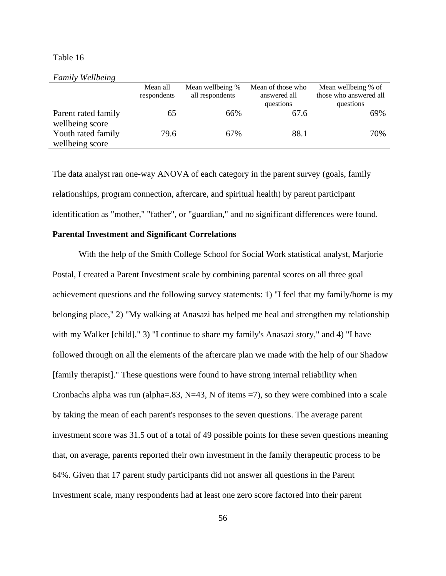### Table 16

#### *Family Wellbeing*

|                                        | Mean all<br>respondents | Mean wellbeing %<br>all respondents | Mean of those who<br>answered all<br>questions | Mean wellbeing % of<br>those who answered all<br>questions |
|----------------------------------------|-------------------------|-------------------------------------|------------------------------------------------|------------------------------------------------------------|
| Parent rated family<br>wellbeing score | 65                      | 66%                                 | 67.6                                           | 69%                                                        |
| Youth rated family<br>wellbeing score  | 79.6                    | 67%                                 | 88.1                                           | 70%                                                        |

The data analyst ran one-way ANOVA of each category in the parent survey (goals, family relationships, program connection, aftercare, and spiritual health) by parent participant identification as "mother," "father", or "guardian," and no significant differences were found.

# **Parental Investment and Significant Correlations**

With the help of the Smith College School for Social Work statistical analyst, Marjorie Postal, I created a Parent Investment scale by combining parental scores on all three goal achievement questions and the following survey statements: 1) "I feel that my family/home is my belonging place," 2) "My walking at Anasazi has helped me heal and strengthen my relationship with my Walker [child]," 3) "I continue to share my family's Anasazi story," and 4) "I have followed through on all the elements of the aftercare plan we made with the help of our Shadow [family therapist]." These questions were found to have strong internal reliability when Cronbachs alpha was run (alpha=.83, N=43, N of items =7), so they were combined into a scale by taking the mean of each parent's responses to the seven questions. The average parent investment score was 31.5 out of a total of 49 possible points for these seven questions meaning that, on average, parents reported their own investment in the family therapeutic process to be 64%. Given that 17 parent study participants did not answer all questions in the Parent Investment scale, many respondents had at least one zero score factored into their parent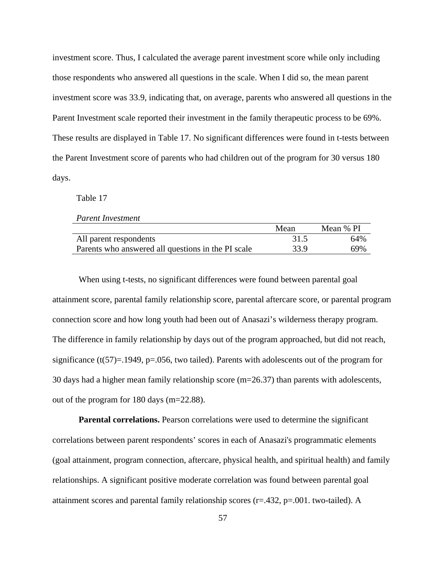investment score. Thus, I calculated the average parent investment score while only including those respondents who answered all questions in the scale. When I did so, the mean parent investment score was 33.9, indicating that, on average, parents who answered all questions in the Parent Investment scale reported their investment in the family therapeutic process to be 69%. These results are displayed in Table 17. No significant differences were found in t-tests between the Parent Investment score of parents who had children out of the program for 30 versus 180 days.

Table 17

|  | <b>Parent Investment</b> |
|--|--------------------------|
|--|--------------------------|

|                                                    | Mean | Mean % PI |
|----------------------------------------------------|------|-----------|
| All parent respondents                             | 31.5 | 64%       |
| Parents who answered all questions in the PI scale | 33.9 | 69%       |

When using t-tests, no significant differences were found between parental goal attainment score, parental family relationship score, parental aftercare score, or parental program connection score and how long youth had been out of Anasazi's wilderness therapy program. The difference in family relationship by days out of the program approached, but did not reach, significance  $(t(57)=1949, p=.056$ , two tailed). Parents with adolescents out of the program for 30 days had a higher mean family relationship score (m=26.37) than parents with adolescents, out of the program for 180 days (m=22.88).

**Parental correlations.** Pearson correlations were used to determine the significant correlations between parent respondents' scores in each of Anasazi's programmatic elements (goal attainment, program connection, aftercare, physical health, and spiritual health) and family relationships. A significant positive moderate correlation was found between parental goal attainment scores and parental family relationship scores (r=.432, p=.001. two-tailed). A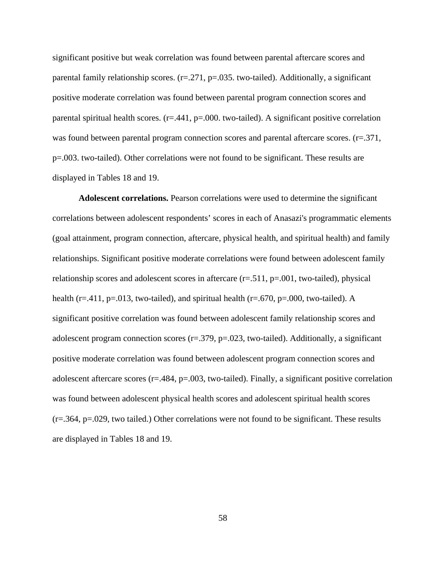significant positive but weak correlation was found between parental aftercare scores and parental family relationship scores.  $(r=271, p=.035$ . two-tailed). Additionally, a significant positive moderate correlation was found between parental program connection scores and parental spiritual health scores.  $(r=.441, p=.000$ . two-tailed). A significant positive correlation was found between parental program connection scores and parental aftercare scores. (r=.371, p=.003. two-tailed). Other correlations were not found to be significant. These results are displayed in Tables 18 and 19.

**Adolescent correlations.** Pearson correlations were used to determine the significant correlations between adolescent respondents' scores in each of Anasazi's programmatic elements (goal attainment, program connection, aftercare, physical health, and spiritual health) and family relationships. Significant positive moderate correlations were found between adolescent family relationship scores and adolescent scores in aftercare  $(r=.511, p=.001,$  two-tailed), physical health ( $r = .411$ ,  $p = .013$ , two-tailed), and spiritual health ( $r = .670$ ,  $p = .000$ , two-tailed). A significant positive correlation was found between adolescent family relationship scores and adolescent program connection scores (r=.379, p=.023, two-tailed). Additionally, a significant positive moderate correlation was found between adolescent program connection scores and adolescent aftercare scores  $(r=.484, p=.003, two-tailed)$ . Finally, a significant positive correlation was found between adolescent physical health scores and adolescent spiritual health scores (r=.364, p=.029, two tailed.) Other correlations were not found to be significant. These results are displayed in Tables 18 and 19.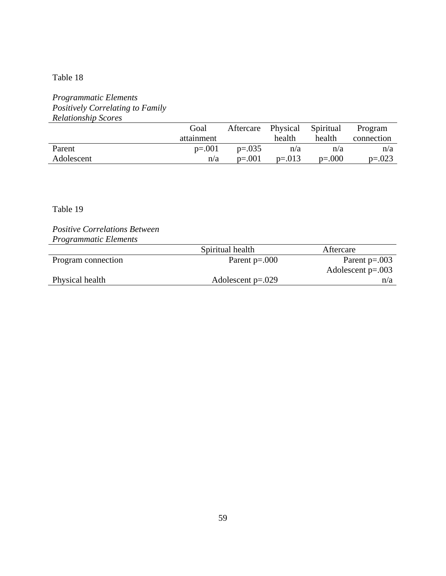# Table 18

# *Programmatic Elements Positively Correlating to Family Relationship Scores*

|            | Goal       | Aftercare Physical |          | Spiritual | Program    |
|------------|------------|--------------------|----------|-----------|------------|
|            | attainment |                    | health   | health    | connection |
| Parent     | $p=.001$   | $p=.035$           | n/a      | n/a       | n/a        |
| Adolescent | n/a        | $p=.001$           | $p=.013$ | $p=.000$  | $p=.023$   |

# Table 19

*Positive Correlations Between Programmatic Elements* 

|                    | Spiritual health    | Aftercare           |
|--------------------|---------------------|---------------------|
| Program connection | Parent $p=.000$     | Parent $p=.003$     |
|                    |                     | Adolescent $p=.003$ |
| Physical health    | Adolescent $p=.029$ | n/a                 |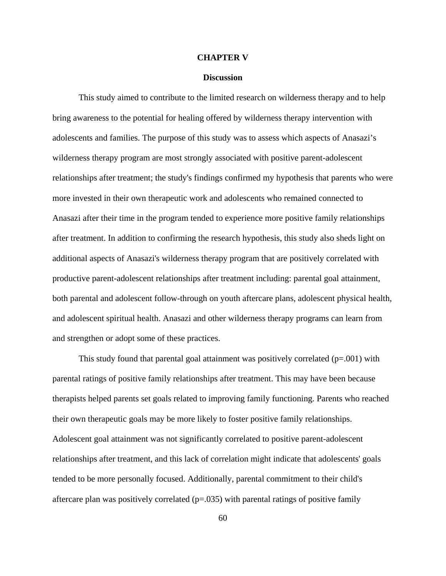#### **CHAPTER V**

#### **Discussion**

This study aimed to contribute to the limited research on wilderness therapy and to help bring awareness to the potential for healing offered by wilderness therapy intervention with adolescents and families. The purpose of this study was to assess which aspects of Anasazi's wilderness therapy program are most strongly associated with positive parent-adolescent relationships after treatment; the study's findings confirmed my hypothesis that parents who were more invested in their own therapeutic work and adolescents who remained connected to Anasazi after their time in the program tended to experience more positive family relationships after treatment. In addition to confirming the research hypothesis, this study also sheds light on additional aspects of Anasazi's wilderness therapy program that are positively correlated with productive parent-adolescent relationships after treatment including: parental goal attainment, both parental and adolescent follow-through on youth aftercare plans, adolescent physical health, and adolescent spiritual health. Anasazi and other wilderness therapy programs can learn from and strengthen or adopt some of these practices.

This study found that parental goal attainment was positively correlated  $(p=.001)$  with parental ratings of positive family relationships after treatment. This may have been because therapists helped parents set goals related to improving family functioning. Parents who reached their own therapeutic goals may be more likely to foster positive family relationships. Adolescent goal attainment was not significantly correlated to positive parent-adolescent relationships after treatment, and this lack of correlation might indicate that adolescents' goals tended to be more personally focused. Additionally, parental commitment to their child's aftercare plan was positively correlated  $(p=.035)$  with parental ratings of positive family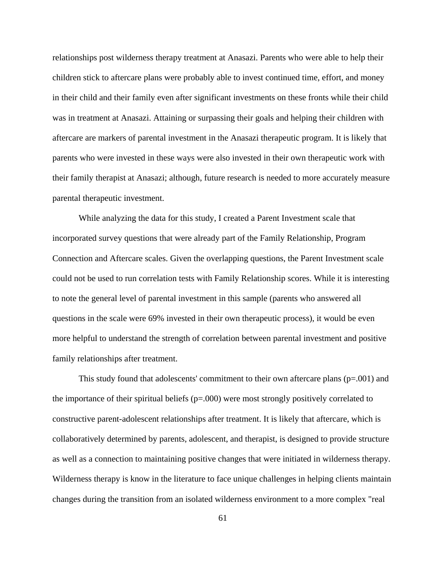relationships post wilderness therapy treatment at Anasazi. Parents who were able to help their children stick to aftercare plans were probably able to invest continued time, effort, and money in their child and their family even after significant investments on these fronts while their child was in treatment at Anasazi. Attaining or surpassing their goals and helping their children with aftercare are markers of parental investment in the Anasazi therapeutic program. It is likely that parents who were invested in these ways were also invested in their own therapeutic work with their family therapist at Anasazi; although, future research is needed to more accurately measure parental therapeutic investment.

While analyzing the data for this study, I created a Parent Investment scale that incorporated survey questions that were already part of the Family Relationship, Program Connection and Aftercare scales. Given the overlapping questions, the Parent Investment scale could not be used to run correlation tests with Family Relationship scores. While it is interesting to note the general level of parental investment in this sample (parents who answered all questions in the scale were 69% invested in their own therapeutic process), it would be even more helpful to understand the strength of correlation between parental investment and positive family relationships after treatment.

This study found that adolescents' commitment to their own aftercare plans  $(p=0.001)$  and the importance of their spiritual beliefs ( $p=000$ ) were most strongly positively correlated to constructive parent-adolescent relationships after treatment. It is likely that aftercare, which is collaboratively determined by parents, adolescent, and therapist, is designed to provide structure as well as a connection to maintaining positive changes that were initiated in wilderness therapy. Wilderness therapy is know in the literature to face unique challenges in helping clients maintain changes during the transition from an isolated wilderness environment to a more complex "real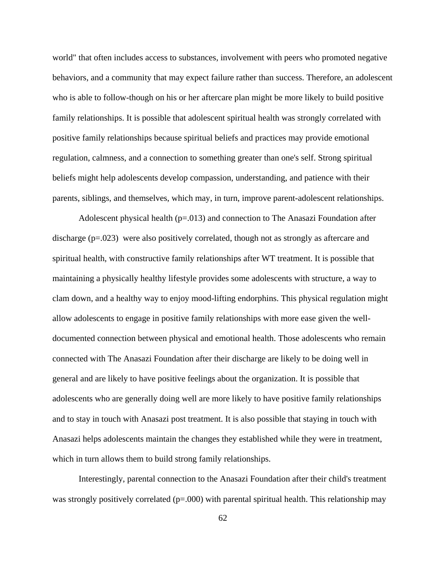world" that often includes access to substances, involvement with peers who promoted negative behaviors, and a community that may expect failure rather than success. Therefore, an adolescent who is able to follow-though on his or her aftercare plan might be more likely to build positive family relationships. It is possible that adolescent spiritual health was strongly correlated with positive family relationships because spiritual beliefs and practices may provide emotional regulation, calmness, and a connection to something greater than one's self. Strong spiritual beliefs might help adolescents develop compassion, understanding, and patience with their parents, siblings, and themselves, which may, in turn, improve parent-adolescent relationships.

Adolescent physical health  $(p=0.013)$  and connection to The Anasazi Foundation after discharge (p=.023) were also positively correlated, though not as strongly as aftercare and spiritual health, with constructive family relationships after WT treatment. It is possible that maintaining a physically healthy lifestyle provides some adolescents with structure, a way to clam down, and a healthy way to enjoy mood-lifting endorphins. This physical regulation might allow adolescents to engage in positive family relationships with more ease given the welldocumented connection between physical and emotional health. Those adolescents who remain connected with The Anasazi Foundation after their discharge are likely to be doing well in general and are likely to have positive feelings about the organization. It is possible that adolescents who are generally doing well are more likely to have positive family relationships and to stay in touch with Anasazi post treatment. It is also possible that staying in touch with Anasazi helps adolescents maintain the changes they established while they were in treatment, which in turn allows them to build strong family relationships.

Interestingly, parental connection to the Anasazi Foundation after their child's treatment was strongly positively correlated  $(p=0.00)$  with parental spiritual health. This relationship may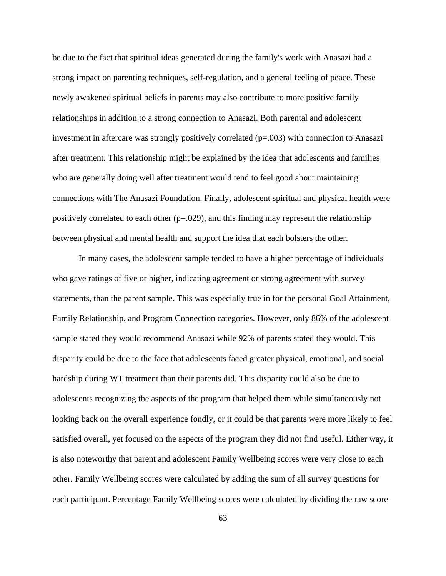be due to the fact that spiritual ideas generated during the family's work with Anasazi had a strong impact on parenting techniques, self-regulation, and a general feeling of peace. These newly awakened spiritual beliefs in parents may also contribute to more positive family relationships in addition to a strong connection to Anasazi. Both parental and adolescent investment in aftercare was strongly positively correlated  $(p=.003)$  with connection to Anasazi after treatment. This relationship might be explained by the idea that adolescents and families who are generally doing well after treatment would tend to feel good about maintaining connections with The Anasazi Foundation. Finally, adolescent spiritual and physical health were positively correlated to each other  $(p=.029)$ , and this finding may represent the relationship between physical and mental health and support the idea that each bolsters the other.

In many cases, the adolescent sample tended to have a higher percentage of individuals who gave ratings of five or higher, indicating agreement or strong agreement with survey statements, than the parent sample. This was especially true in for the personal Goal Attainment, Family Relationship, and Program Connection categories. However, only 86% of the adolescent sample stated they would recommend Anasazi while 92% of parents stated they would. This disparity could be due to the face that adolescents faced greater physical, emotional, and social hardship during WT treatment than their parents did. This disparity could also be due to adolescents recognizing the aspects of the program that helped them while simultaneously not looking back on the overall experience fondly, or it could be that parents were more likely to feel satisfied overall, yet focused on the aspects of the program they did not find useful. Either way, it is also noteworthy that parent and adolescent Family Wellbeing scores were very close to each other. Family Wellbeing scores were calculated by adding the sum of all survey questions for each participant. Percentage Family Wellbeing scores were calculated by dividing the raw score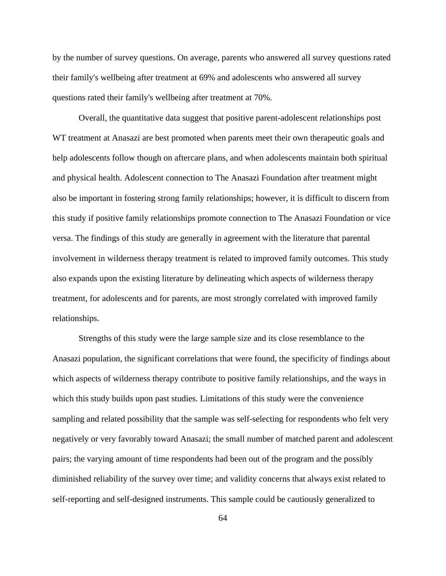by the number of survey questions. On average, parents who answered all survey questions rated their family's wellbeing after treatment at 69% and adolescents who answered all survey questions rated their family's wellbeing after treatment at 70%.

Overall, the quantitative data suggest that positive parent-adolescent relationships post WT treatment at Anasazi are best promoted when parents meet their own therapeutic goals and help adolescents follow though on aftercare plans, and when adolescents maintain both spiritual and physical health. Adolescent connection to The Anasazi Foundation after treatment might also be important in fostering strong family relationships; however, it is difficult to discern from this study if positive family relationships promote connection to The Anasazi Foundation or vice versa. The findings of this study are generally in agreement with the literature that parental involvement in wilderness therapy treatment is related to improved family outcomes. This study also expands upon the existing literature by delineating which aspects of wilderness therapy treatment, for adolescents and for parents, are most strongly correlated with improved family relationships.

Strengths of this study were the large sample size and its close resemblance to the Anasazi population, the significant correlations that were found, the specificity of findings about which aspects of wilderness therapy contribute to positive family relationships, and the ways in which this study builds upon past studies. Limitations of this study were the convenience sampling and related possibility that the sample was self-selecting for respondents who felt very negatively or very favorably toward Anasazi; the small number of matched parent and adolescent pairs; the varying amount of time respondents had been out of the program and the possibly diminished reliability of the survey over time; and validity concerns that always exist related to self-reporting and self-designed instruments. This sample could be cautiously generalized to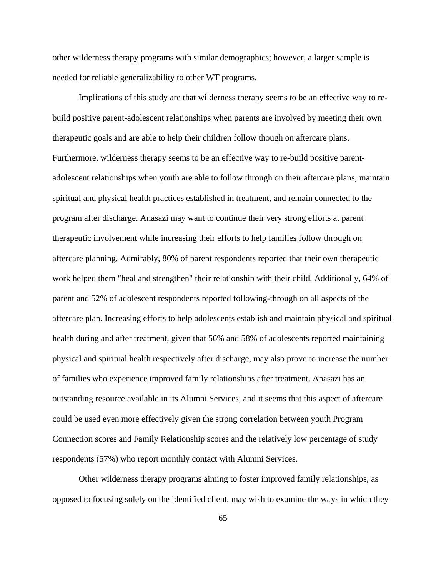other wilderness therapy programs with similar demographics; however, a larger sample is needed for reliable generalizability to other WT programs.

Implications of this study are that wilderness therapy seems to be an effective way to rebuild positive parent-adolescent relationships when parents are involved by meeting their own therapeutic goals and are able to help their children follow though on aftercare plans. Furthermore, wilderness therapy seems to be an effective way to re-build positive parentadolescent relationships when youth are able to follow through on their aftercare plans, maintain spiritual and physical health practices established in treatment, and remain connected to the program after discharge. Anasazi may want to continue their very strong efforts at parent therapeutic involvement while increasing their efforts to help families follow through on aftercare planning. Admirably, 80% of parent respondents reported that their own therapeutic work helped them "heal and strengthen" their relationship with their child. Additionally, 64% of parent and 52% of adolescent respondents reported following-through on all aspects of the aftercare plan. Increasing efforts to help adolescents establish and maintain physical and spiritual health during and after treatment, given that 56% and 58% of adolescents reported maintaining physical and spiritual health respectively after discharge, may also prove to increase the number of families who experience improved family relationships after treatment. Anasazi has an outstanding resource available in its Alumni Services, and it seems that this aspect of aftercare could be used even more effectively given the strong correlation between youth Program Connection scores and Family Relationship scores and the relatively low percentage of study respondents (57%) who report monthly contact with Alumni Services.

Other wilderness therapy programs aiming to foster improved family relationships, as opposed to focusing solely on the identified client, may wish to examine the ways in which they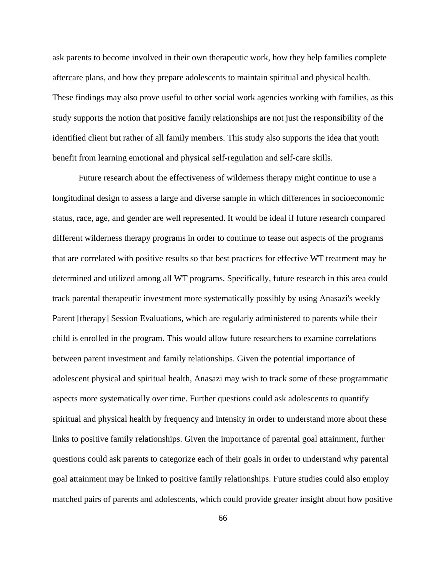ask parents to become involved in their own therapeutic work, how they help families complete aftercare plans, and how they prepare adolescents to maintain spiritual and physical health. These findings may also prove useful to other social work agencies working with families, as this study supports the notion that positive family relationships are not just the responsibility of the identified client but rather of all family members. This study also supports the idea that youth benefit from learning emotional and physical self-regulation and self-care skills.

Future research about the effectiveness of wilderness therapy might continue to use a longitudinal design to assess a large and diverse sample in which differences in socioeconomic status, race, age, and gender are well represented. It would be ideal if future research compared different wilderness therapy programs in order to continue to tease out aspects of the programs that are correlated with positive results so that best practices for effective WT treatment may be determined and utilized among all WT programs. Specifically, future research in this area could track parental therapeutic investment more systematically possibly by using Anasazi's weekly Parent [therapy] Session Evaluations, which are regularly administered to parents while their child is enrolled in the program. This would allow future researchers to examine correlations between parent investment and family relationships. Given the potential importance of adolescent physical and spiritual health, Anasazi may wish to track some of these programmatic aspects more systematically over time. Further questions could ask adolescents to quantify spiritual and physical health by frequency and intensity in order to understand more about these links to positive family relationships. Given the importance of parental goal attainment, further questions could ask parents to categorize each of their goals in order to understand why parental goal attainment may be linked to positive family relationships. Future studies could also employ matched pairs of parents and adolescents, which could provide greater insight about how positive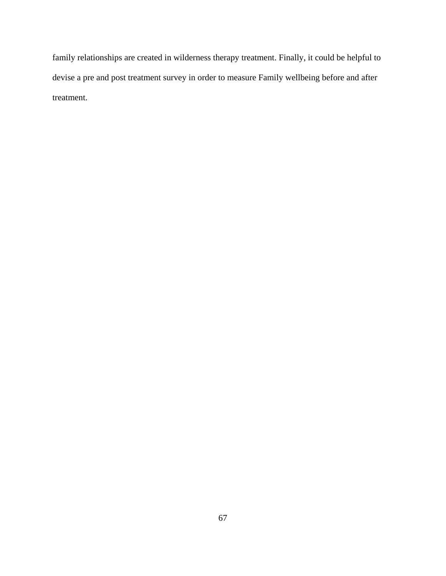family relationships are created in wilderness therapy treatment. Finally, it could be helpful to devise a pre and post treatment survey in order to measure Family wellbeing before and after treatment.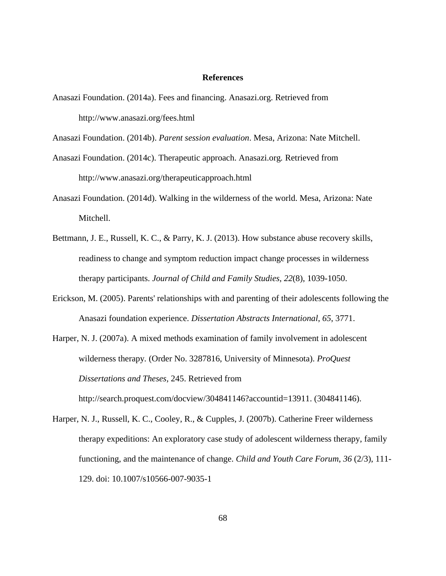#### **References**

Anasazi Foundation. (2014a). Fees and financing. Anasazi.org. Retrieved from http://www.anasazi.org/fees.html

Anasazi Foundation. (2014b). *Parent session evaluation*. Mesa, Arizona: Nate Mitchell.

- Anasazi Foundation. (2014c). Therapeutic approach. Anasazi.org*.* Retrieved from http://www.anasazi.org/therapeuticapproach.html
- Anasazi Foundation. (2014d). Walking in the wilderness of the world. Mesa, Arizona: Nate Mitchell.
- Bettmann, J. E., Russell, K. C., & Parry, K. J. (2013). How substance abuse recovery skills, readiness to change and symptom reduction impact change processes in wilderness therapy participants. *Journal of Child and Family Studies, 22*(8), 1039-1050.
- Erickson, M. (2005). Parents' relationships with and parenting of their adolescents following the Anasazi foundation experience. *Dissertation Abstracts International*, *65*, 3771.
- Harper, N. J. (2007a). A mixed methods examination of family involvement in adolescent wilderness therapy*.* (Order No. 3287816, University of Minnesota). *ProQuest Dissertations and Theses,* 245. Retrieved from http://search.proquest.com/docview/304841146?accountid=13911. (304841146).
- Harper, N. J., Russell, K. C., Cooley, R., & Cupples, J. (2007b). Catherine Freer wilderness therapy expeditions: An exploratory case study of adolescent wilderness therapy, family functioning, and the maintenance of change. *Child and Youth Care Forum*, *36* (2/3), 111- 129. doi: 10.1007/s10566-007-9035-1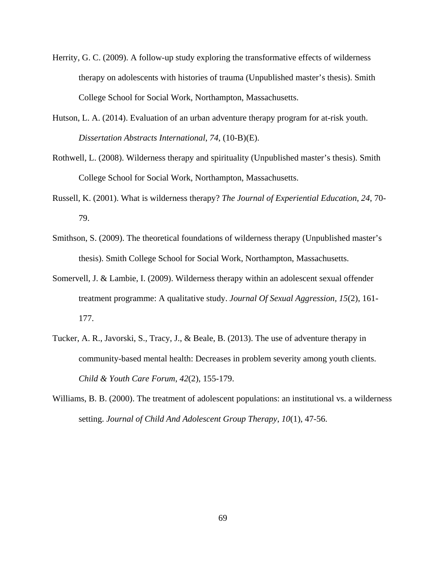- Herrity, G. C. (2009). A follow-up study exploring the transformative effects of wilderness therapy on adolescents with histories of trauma (Unpublished master's thesis). Smith College School for Social Work, Northampton, Massachusetts.
- Hutson, L. A. (2014). Evaluation of an urban adventure therapy program for at-risk youth. *Dissertation Abstracts International*, *74*, (10-B)(E).
- Rothwell, L. (2008). Wilderness therapy and spirituality (Unpublished master's thesis). Smith College School for Social Work, Northampton, Massachusetts.
- Russell, K. (2001). What is wilderness therapy? *The Journal of Experiential Education*, *24*, 70- 79.
- Smithson, S. (2009). The theoretical foundations of wilderness therapy (Unpublished master's thesis). Smith College School for Social Work, Northampton, Massachusetts.
- Somervell, J. & Lambie, I. (2009). Wilderness therapy within an adolescent sexual offender treatment programme: A qualitative study. *Journal Of Sexual Aggression*, *15*(2), 161- 177.
- Tucker, A. R., Javorski, S., Tracy, J., & Beale, B. (2013). The use of adventure therapy in community-based mental health: Decreases in problem severity among youth clients. *Child & Youth Care Forum*, *42*(2), 155-179.
- Williams, B. B. (2000). The treatment of adolescent populations: an institutional vs. a wilderness setting. *Journal of Child And Adolescent Group Therapy*, *10*(1), 47-56.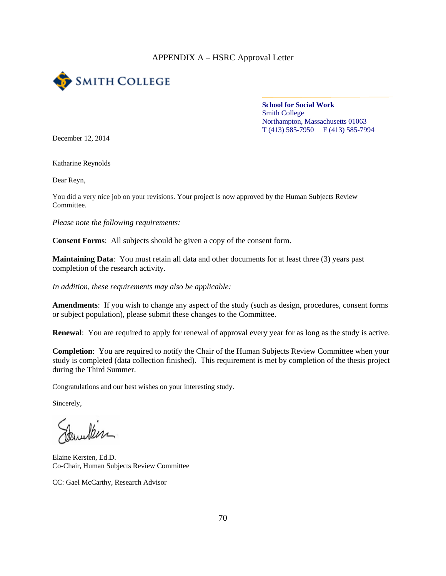## APPENDIX A – HSRC Approval Letter



**School for Social Work**  Smith College Northampton, Massachusetts 01063 T (413) 585-7950 F (413) 585-7994

December 12, 2014

Katharine Reynolds

Dear Reyn,

You did a very nice job on your revisions. Your project is now approved by the Human Subjects Review Committee.

*Please note the following requirements:* 

**Consent Forms**: All subjects should be given a copy of the consent form.

**Maintaining Data**: You must retain all data and other documents for at least three (3) years past completion of the research activity.

*In addition, these requirements may also be applicable:* 

**Amendments**: If you wish to change any aspect of the study (such as design, procedures, consent forms or subject population), please submit these changes to the Committee.

**Renewal**: You are required to apply for renewal of approval every year for as long as the study is active.

**Completion**: You are required to notify the Chair of the Human Subjects Review Committee when your study is completed (data collection finished). This requirement is met by completion of the thesis project during the Third Summer.

Congratulations and our best wishes on your interesting study.

Sincerely,

willen

Elaine Kersten, Ed.D. Co-Chair, Human Subjects Review Committee

CC: Gael McCarthy, Research Advisor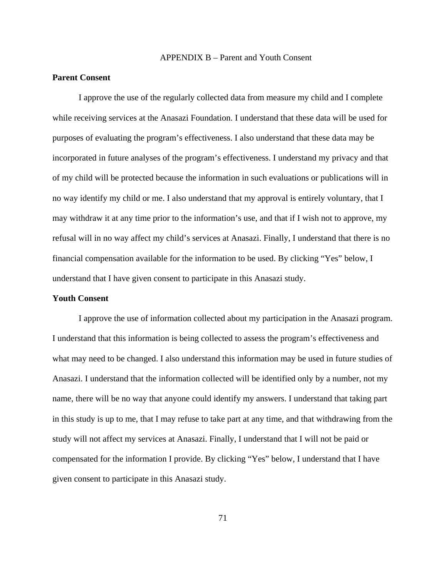#### APPENDIX B – Parent and Youth Consent

# **Parent Consent**

I approve the use of the regularly collected data from measure my child and I complete while receiving services at the Anasazi Foundation. I understand that these data will be used for purposes of evaluating the program's effectiveness. I also understand that these data may be incorporated in future analyses of the program's effectiveness. I understand my privacy and that of my child will be protected because the information in such evaluations or publications will in no way identify my child or me. I also understand that my approval is entirely voluntary, that I may withdraw it at any time prior to the information's use, and that if I wish not to approve, my refusal will in no way affect my child's services at Anasazi. Finally, I understand that there is no financial compensation available for the information to be used. By clicking "Yes" below, I understand that I have given consent to participate in this Anasazi study.

#### **Youth Consent**

I approve the use of information collected about my participation in the Anasazi program. I understand that this information is being collected to assess the program's effectiveness and what may need to be changed. I also understand this information may be used in future studies of Anasazi. I understand that the information collected will be identified only by a number, not my name, there will be no way that anyone could identify my answers. I understand that taking part in this study is up to me, that I may refuse to take part at any time, and that withdrawing from the study will not affect my services at Anasazi. Finally, I understand that I will not be paid or compensated for the information I provide. By clicking "Yes" below, I understand that I have given consent to participate in this Anasazi study.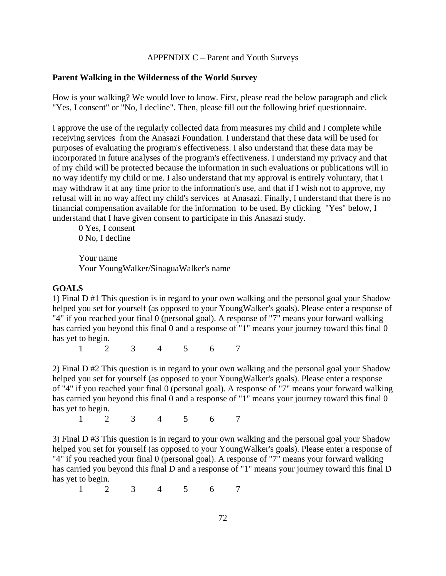# APPENDIX C – Parent and Youth Surveys

#### **Parent Walking in the Wilderness of the World Survey**

How is your walking? We would love to know. First, please read the below paragraph and click "Yes, I consent" or "No, I decline". Then, please fill out the following brief questionnaire.

I approve the use of the regularly collected data from measures my child and I complete while receiving services from the Anasazi Foundation. I understand that these data will be used for purposes of evaluating the program's effectiveness. I also understand that these data may be incorporated in future analyses of the program's effectiveness. I understand my privacy and that of my child will be protected because the information in such evaluations or publications will in no way identify my child or me. I also understand that my approval is entirely voluntary, that I may withdraw it at any time prior to the information's use, and that if I wish not to approve, my refusal will in no way affect my child's services at Anasazi. Finally, I understand that there is no financial compensation available for the information to be used. By clicking "Yes" below, I understand that I have given consent to participate in this Anasazi study.

0 Yes, I consent 0 No, I decline

Your name Your YoungWalker/SinaguaWalker's name

#### **GOALS**

1) Final D #1 This question is in regard to your own walking and the personal goal your Shadow helped you set for yourself (as opposed to your YoungWalker's goals). Please enter a response of "4" if you reached your final 0 (personal goal). A response of "7" means your forward walking has carried you beyond this final 0 and a response of "1" means your journey toward this final 0 has yet to begin.

1 2 3 4 5 6 7

2) Final D #2 This question is in regard to your own walking and the personal goal your Shadow helped you set for yourself (as opposed to your YoungWalker's goals). Please enter a response of "4" if you reached your final 0 (personal goal). A response of "7" means your forward walking has carried you beyond this final 0 and a response of "1" means your journey toward this final 0 has yet to begin.

1 2 3 4 5 6 7

3) Final D #3 This question is in regard to your own walking and the personal goal your Shadow helped you set for yourself (as opposed to your YoungWalker's goals). Please enter a response of "4" if you reached your final 0 (personal goal). A response of "7" means your forward walking has carried you beyond this final D and a response of "1" means your journey toward this final D has yet to begin.

1 2 3 4 5 6 7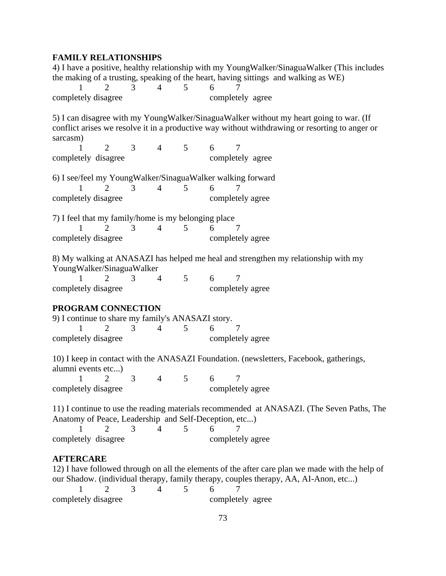# **FAMILY RELATIONSHIPS**

|                                                       |                     |                |             | 4) I have a positive, healthy relationship with my YoungWalker/SinaguaWalker (This includes                                                                                              |
|-------------------------------------------------------|---------------------|----------------|-------------|------------------------------------------------------------------------------------------------------------------------------------------------------------------------------------------|
|                                                       |                     |                |             | the making of a trusting, speaking of the heart, having sittings and walking as WE)                                                                                                      |
| $\overline{2}$<br>1                                   | 3                   | $\overline{4}$ | 5           | 6<br>7                                                                                                                                                                                   |
| completely disagree                                   |                     |                |             | completely agree                                                                                                                                                                         |
| sarcasm)                                              |                     |                |             | 5) I can disagree with my YoungWalker/SinaguaWalker without my heart going to war. (If<br>conflict arises we resolve it in a productive way without withdrawing or resorting to anger or |
| 2                                                     |                     | 3 <sup>7</sup> | $4 \quad 5$ | 6<br>7                                                                                                                                                                                   |
| completely disagree                                   |                     |                |             | completely agree                                                                                                                                                                         |
|                                                       |                     |                |             | 6) I see/feel my YoungWalker/SinaguaWalker walking forward                                                                                                                               |
| $\mathbf{1}$                                          | $\overline{2}$<br>3 | $\overline{4}$ | 5           | 6<br>$\overline{7}$                                                                                                                                                                      |
| completely disagree                                   |                     |                |             | completely agree                                                                                                                                                                         |
| 7) I feel that my family/home is my belonging place   |                     |                |             |                                                                                                                                                                                          |
| $\overline{2}$<br>1                                   | 3                   | $\overline{4}$ | 5           | 6<br>7                                                                                                                                                                                   |
| completely disagree                                   |                     |                |             | completely agree                                                                                                                                                                         |
| YoungWalker/SinaguaWalker                             |                     |                |             | 8) My walking at ANASAZI has helped me heal and strengthen my relationship with my                                                                                                       |
| $\overline{2}$<br>1                                   | $\mathfrak{Z}$      |                | $4\quad 5$  | 6<br>7                                                                                                                                                                                   |
| completely disagree                                   |                     |                |             | completely agree                                                                                                                                                                         |
| PROGRAM CONNECTION                                    |                     |                |             |                                                                                                                                                                                          |
| 9) I continue to share my family's ANASAZI story.     |                     |                |             |                                                                                                                                                                                          |
| 1<br>$\overline{2}$                                   | 3                   | $\overline{4}$ | 5           | 6<br>7                                                                                                                                                                                   |
| completely disagree                                   |                     |                |             | completely agree                                                                                                                                                                         |
|                                                       |                     |                |             | 10) I keep in contact with the ANASAZI Foundation. (newsletters, Facebook, gatherings,                                                                                                   |
| alumni events etc)                                    |                     |                |             |                                                                                                                                                                                          |
| $\overline{2}$                                        | 3                   | $4 \quad 5$    |             | 6<br>7                                                                                                                                                                                   |
|                                                       |                     |                |             | completely disagree completely agree                                                                                                                                                     |
|                                                       |                     |                |             | 11) I continue to use the reading materials recommended at ANASAZI. (The Seven Paths, The                                                                                                |
| Anatomy of Peace, Leadership and Self-Deception, etc) |                     |                |             |                                                                                                                                                                                          |
| 2.<br>completely disagree                             | 3                   | 4              | 5           | 6<br>7<br>completely agree                                                                                                                                                               |
|                                                       |                     |                |             |                                                                                                                                                                                          |
| <b>AFTERCARE</b>                                      |                     |                |             | 12) I have followed through on all the elements of the after care plan we made with the help of                                                                                          |
|                                                       |                     |                |             | our Shadow. (individual therapy, family therapy, couples therapy, AA, AI-Anon, etc)                                                                                                      |
| $\mathcal{D}_{\cdot}$                                 | 3                   |                | 5           | 6                                                                                                                                                                                        |

completely disagree completely agree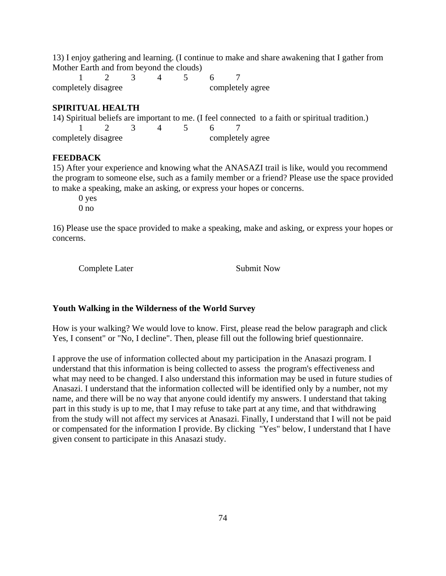13) I enjoy gathering and learning. (I continue to make and share awakening that I gather from Mother Earth and from beyond the clouds)

1 2 3 4 5 6 7 completely disagree completely agree

## **SPIRITUAL HEALTH**

14) Spiritual beliefs are important to me. (I feel connected to a faith or spiritual tradition.) 1 2 3 4 5 6 7 completely disagree completely agree

#### **FEEDBACK**

15) After your experience and knowing what the ANASAZI trail is like, would you recommend the program to someone else, such as a family member or a friend? Please use the space provided to make a speaking, make an asking, or express your hopes or concerns.

0 yes

0 no

16) Please use the space provided to make a speaking, make and asking, or express your hopes or concerns.

Complete Later Submit Now

#### **Youth Walking in the Wilderness of the World Survey**

How is your walking? We would love to know. First, please read the below paragraph and click Yes, I consent" or "No, I decline". Then, please fill out the following brief questionnaire.

I approve the use of information collected about my participation in the Anasazi program. I understand that this information is being collected to assess the program's effectiveness and what may need to be changed. I also understand this information may be used in future studies of Anasazi. I understand that the information collected will be identified only by a number, not my name, and there will be no way that anyone could identify my answers. I understand that taking part in this study is up to me, that I may refuse to take part at any time, and that withdrawing from the study will not affect my services at Anasazi. Finally, I understand that I will not be paid or compensated for the information I provide. By clicking "Yes" below, I understand that I have given consent to participate in this Anasazi study.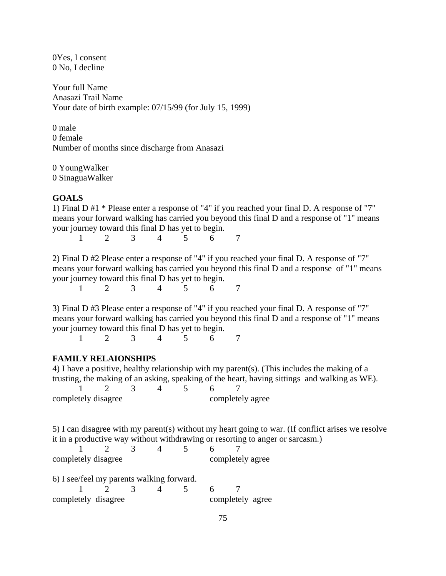0Yes, I consent 0 No, I decline

Your full Name Anasazi Trail Name Your date of birth example: 07/15/99 (for July 15, 1999)

0 male 0 female Number of months since discharge from Anasazi

0 YoungWalker 0 SinaguaWalker

# **GOALS**

1) Final D #1 \* Please enter a response of "4" if you reached your final D. A response of "7" means your forward walking has carried you beyond this final D and a response of "1" means your journey toward this final D has yet to begin.

1 2 3 4 5 6 7

2) Final D #2 Please enter a response of "4" if you reached your final D. A response of "7" means your forward walking has carried you beyond this final D and a response of "1" means your journey toward this final D has yet to begin.

1 2 3 4 5 6 7

3) Final D #3 Please enter a response of "4" if you reached your final D. A response of "7" means your forward walking has carried you beyond this final D and a response of "1" means your journey toward this final D has yet to begin.

1 2 3 4 5 6 7

#### **FAMILY RELAIONSHIPS**

4) I have a positive, healthy relationship with my parent(s). (This includes the making of a trusting, the making of an asking, speaking of the heart, having sittings and walking as WE).

| completely disagree |  |  | completely agree |  |
|---------------------|--|--|------------------|--|

5) I can disagree with my parent(s) without my heart going to war. (If conflict arises we resolve it in a productive way without withdrawing or resorting to anger or sarcasm.)

| completely disagree |  |  | completely agree |  |
|---------------------|--|--|------------------|--|

| 6) I see/feel my parents walking forward. |                                                                    |  |                  |  |
|-------------------------------------------|--------------------------------------------------------------------|--|------------------|--|
|                                           | $\begin{array}{ccccccccccccccccc}\n1 & 2 & 3 & 4 & 5\n\end{array}$ |  | - 6 -            |  |
| completely disagree                       |                                                                    |  | completely agree |  |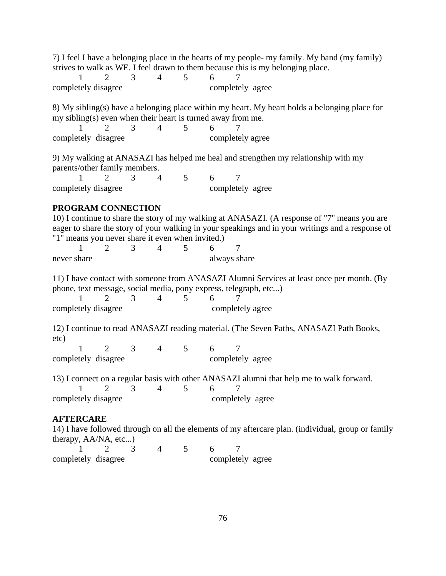7) I feel I have a belonging place in the hearts of my people- my family. My band (my family) strives to walk as WE. I feel drawn to them because this is my belonging place.

| completely disagree |  |  |  | completely agree |
|---------------------|--|--|--|------------------|

8) My sibling(s) have a belonging place within my heart. My heart holds a belonging place for my sibling(s) even when their heart is turned away from me.

1 2 3 4 5 6 7 completely disagree completely agree

9) My walking at ANASAZI has helped me heal and strengthen my relationship with my parents/other family members.

| completely disagree |  |  |  | completely agree |
|---------------------|--|--|--|------------------|

# **PROGRAM CONNECTION**

10) I continue to share the story of my walking at ANASAZI. (A response of "7'' means you are eager to share the story of your walking in your speakings and in your writings and a response of "1" means you never share it even when invited.) 1 2 3 4 5 6 7 never share always share always share 11) I have contact with someone from ANASAZI Alumni Services at least once per month. (By phone, text message, social media, pony express, telegraph, etc...) 1 2 3 4 5 6 7 completely disagree completely agree 12) I continue to read ANASAZI reading material. (The Seven Paths, ANASAZI Path Books, etc) 1 2 3 4 5 6 7 completely disagree completely agree 13) I connect on a regular basis with other ANASAZI alumni that help me to walk forward.

1 2 3 4 5 6 7 completely disagree completely agree

#### **AFTERCARE**

14) I have followed through on all the elements of my aftercare plan. (individual, group or family therapy, AA/NA, etc...)

| completely disagree |  |  | completely agree |  |
|---------------------|--|--|------------------|--|